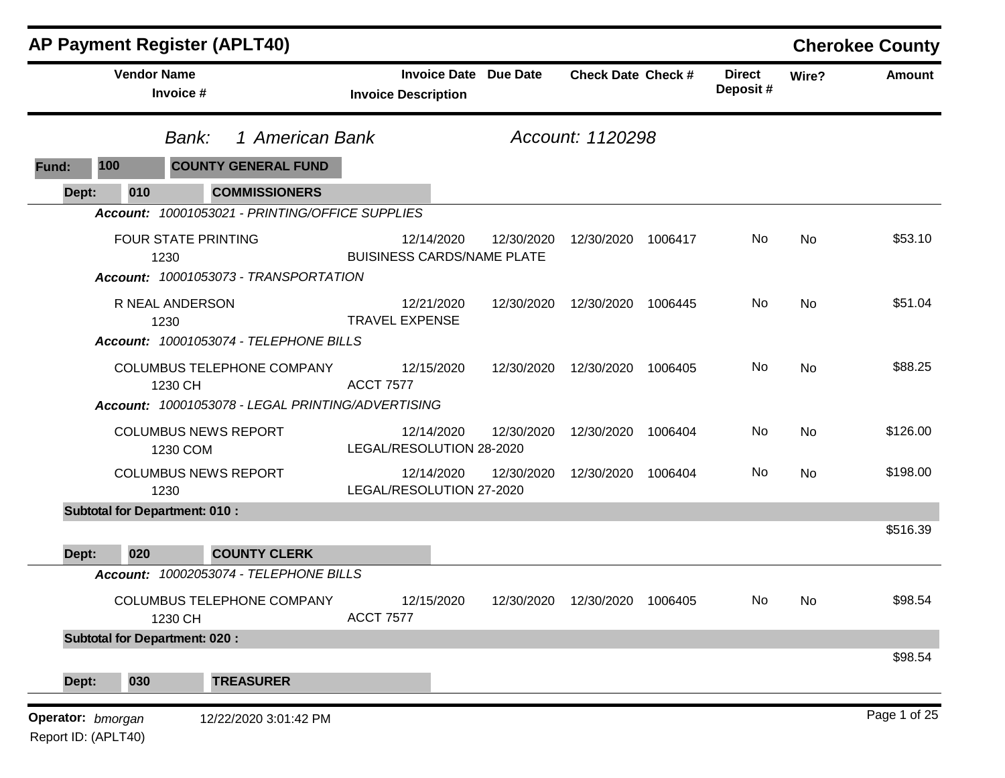| <b>AP Payment Register (APLT40)</b>      |                                         |                                                   |                                                 |                              |                           |         |                           |       | <b>Cherokee County</b> |
|------------------------------------------|-----------------------------------------|---------------------------------------------------|-------------------------------------------------|------------------------------|---------------------------|---------|---------------------------|-------|------------------------|
|                                          | <b>Vendor Name</b><br>Invoice #         |                                                   | <b>Invoice Description</b>                      | <b>Invoice Date Due Date</b> | <b>Check Date Check #</b> |         | <b>Direct</b><br>Deposit# | Wire? | <b>Amount</b>          |
|                                          | Bank:                                   |                                                   | 1 American Bank<br>Account: 1120298             |                              |                           |         |                           |       |                        |
| 100<br>Fund:                             |                                         | <b>COUNTY GENERAL FUND</b>                        |                                                 |                              |                           |         |                           |       |                        |
| Dept:                                    | 010                                     | <b>COMMISSIONERS</b>                              |                                                 |                              |                           |         |                           |       |                        |
|                                          |                                         | Account: 10001053021 - PRINTING/OFFICE SUPPLIES   |                                                 |                              |                           |         |                           |       |                        |
|                                          | <b>FOUR STATE PRINTING</b><br>1230      |                                                   | 12/14/2020<br><b>BUISINESS CARDS/NAME PLATE</b> | 12/30/2020                   | 12/30/2020 1006417        |         | No                        | No    | \$53.10                |
|                                          |                                         | Account: 10001053073 - TRANSPORTATION             |                                                 |                              |                           |         |                           |       |                        |
|                                          | R NEAL ANDERSON<br>1230                 |                                                   | 12/21/2020<br><b>TRAVEL EXPENSE</b>             | 12/30/2020                   | 12/30/2020                | 1006445 | No                        | No    | \$51.04                |
|                                          |                                         | Account: 10001053074 - TELEPHONE BILLS            |                                                 |                              |                           |         |                           |       |                        |
|                                          | 1230 CH                                 | COLUMBUS TELEPHONE COMPANY                        | 12/15/2020<br><b>ACCT 7577</b>                  | 12/30/2020                   | 12/30/2020                | 1006405 | No                        | No    | \$88.25                |
|                                          |                                         | Account: 10001053078 - LEGAL PRINTING/ADVERTISING |                                                 |                              |                           |         |                           |       |                        |
|                                          | <b>COLUMBUS NEWS REPORT</b><br>1230 COM |                                                   | 12/14/2020<br>LEGAL/RESOLUTION 28-2020          | 12/30/2020                   | 12/30/2020                | 1006404 | No                        | No    | \$126.00               |
|                                          | <b>COLUMBUS NEWS REPORT</b><br>1230     |                                                   | 12/14/2020<br>LEGAL/RESOLUTION 27-2020          | 12/30/2020                   | 12/30/2020                | 1006404 | No.                       | No    | \$198.00               |
|                                          | <b>Subtotal for Department: 010:</b>    |                                                   |                                                 |                              |                           |         |                           |       |                        |
|                                          |                                         |                                                   |                                                 |                              |                           |         |                           |       | \$516.39               |
| Dept:                                    | 020                                     | <b>COUNTY CLERK</b>                               |                                                 |                              |                           |         |                           |       |                        |
|                                          |                                         | Account: 10002053074 - TELEPHONE BILLS            |                                                 |                              |                           |         |                           |       |                        |
|                                          | 1230 CH                                 | COLUMBUS TELEPHONE COMPANY                        | 12/15/2020<br><b>ACCT 7577</b>                  | 12/30/2020                   | 12/30/2020                | 1006405 | No.                       | No    | \$98.54                |
|                                          | <b>Subtotal for Department: 020:</b>    |                                                   |                                                 |                              |                           |         |                           |       |                        |
| Dept:                                    | 030                                     | <b>TREASURER</b>                                  |                                                 |                              |                           |         |                           |       | \$98.54                |
| Operator: bmorgan<br>Report ID: (APLT40) |                                         | 12/22/2020 3:01:42 PM                             |                                                 |                              |                           |         |                           |       | Page 1 of 25           |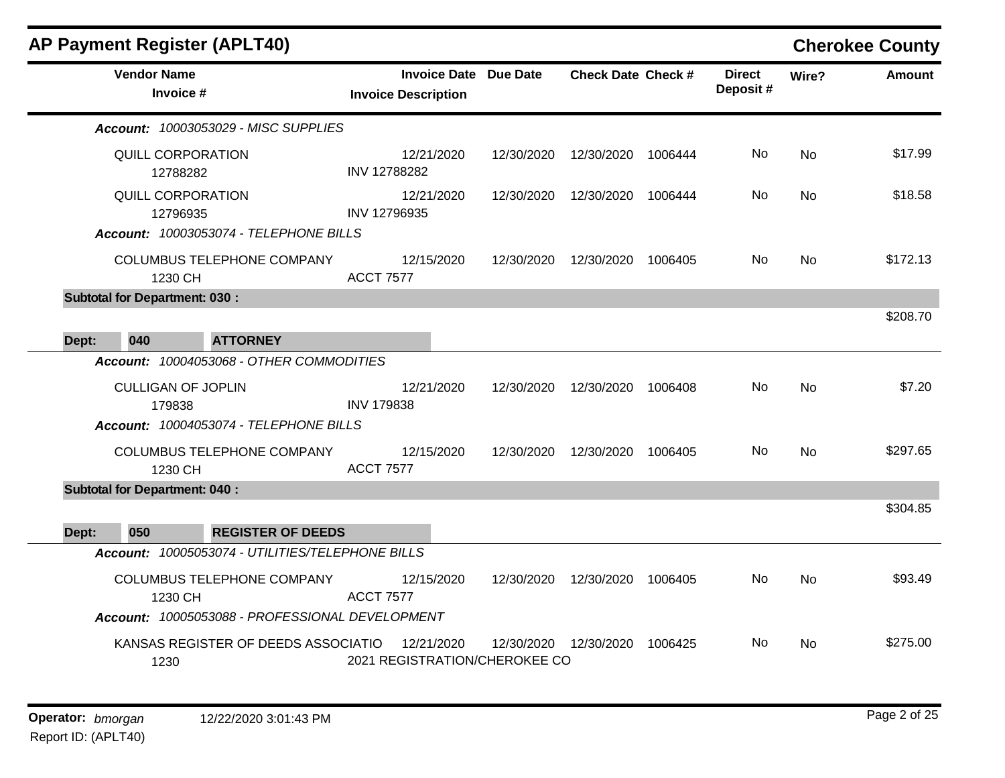|              | <b>AP Payment Register (APLT40)</b>                                            |                                                            |            |                           |         |                           |           | <b>Cherokee County</b> |
|--------------|--------------------------------------------------------------------------------|------------------------------------------------------------|------------|---------------------------|---------|---------------------------|-----------|------------------------|
|              | <b>Vendor Name</b><br>Invoice #                                                | <b>Invoice Date Due Date</b><br><b>Invoice Description</b> |            | <b>Check Date Check #</b> |         | <b>Direct</b><br>Deposit# | Wire?     | <b>Amount</b>          |
|              | <b>Account: 10003053029 - MISC SUPPLIES</b>                                    |                                                            |            |                           |         |                           |           |                        |
|              | QUILL CORPORATION<br>12788282                                                  | 12/21/2020<br>INV 12788282                                 | 12/30/2020 | 12/30/2020                | 1006444 | No                        | <b>No</b> | \$17.99                |
|              | <b>QUILL CORPORATION</b><br>12796935<br>Account: 10003053074 - TELEPHONE BILLS | 12/21/2020<br>INV 12796935                                 | 12/30/2020 | 12/30/2020                | 1006444 | No                        | <b>No</b> | \$18.58                |
|              | <b>COLUMBUS TELEPHONE COMPANY</b><br>1230 CH                                   | 12/15/2020<br><b>ACCT 7577</b>                             | 12/30/2020 | 12/30/2020                | 1006405 | No                        | <b>No</b> | \$172.13               |
|              | <b>Subtotal for Department: 030:</b>                                           |                                                            |            |                           |         |                           |           | \$208.70               |
| 040<br>Dept: | <b>ATTORNEY</b>                                                                |                                                            |            |                           |         |                           |           |                        |
|              | Account: 10004053068 - OTHER COMMODITIES                                       |                                                            |            |                           |         |                           |           |                        |
|              | <b>CULLIGAN OF JOPLIN</b><br>179838                                            | 12/21/2020<br><b>INV 179838</b>                            | 12/30/2020 | 12/30/2020                | 1006408 | No                        | <b>No</b> | \$7.20                 |
|              | Account: 10004053074 - TELEPHONE BILLS                                         |                                                            |            |                           |         |                           |           |                        |
|              | COLUMBUS TELEPHONE COMPANY<br>1230 CH                                          | 12/15/2020<br><b>ACCT 7577</b>                             | 12/30/2020 | 12/30/2020                | 1006405 | No                        | <b>No</b> | \$297.65               |
|              | <b>Subtotal for Department: 040:</b>                                           |                                                            |            |                           |         |                           |           |                        |
| 050          | <b>REGISTER OF DEEDS</b>                                                       |                                                            |            |                           |         |                           |           | \$304.85               |
| Dept:        | Account: 10005053074 - UTILITIES/TELEPHONE BILLS                               |                                                            |            |                           |         |                           |           |                        |
|              | <b>COLUMBUS TELEPHONE COMPANY</b><br>1230 CH                                   | 12/15/2020<br><b>ACCT 7577</b>                             | 12/30/2020 | 12/30/2020                | 1006405 | No                        | <b>No</b> | \$93.49                |
|              | Account: 10005053088 - PROFESSIONAL DEVELOPMENT                                |                                                            |            |                           |         |                           |           |                        |
|              | KANSAS REGISTER OF DEEDS ASSOCIATIO<br>1230                                    | 12/21/2020<br>2021 REGISTRATION/CHEROKEE CO                | 12/30/2020 | 12/30/2020                | 1006425 | No                        | <b>No</b> | \$275.00               |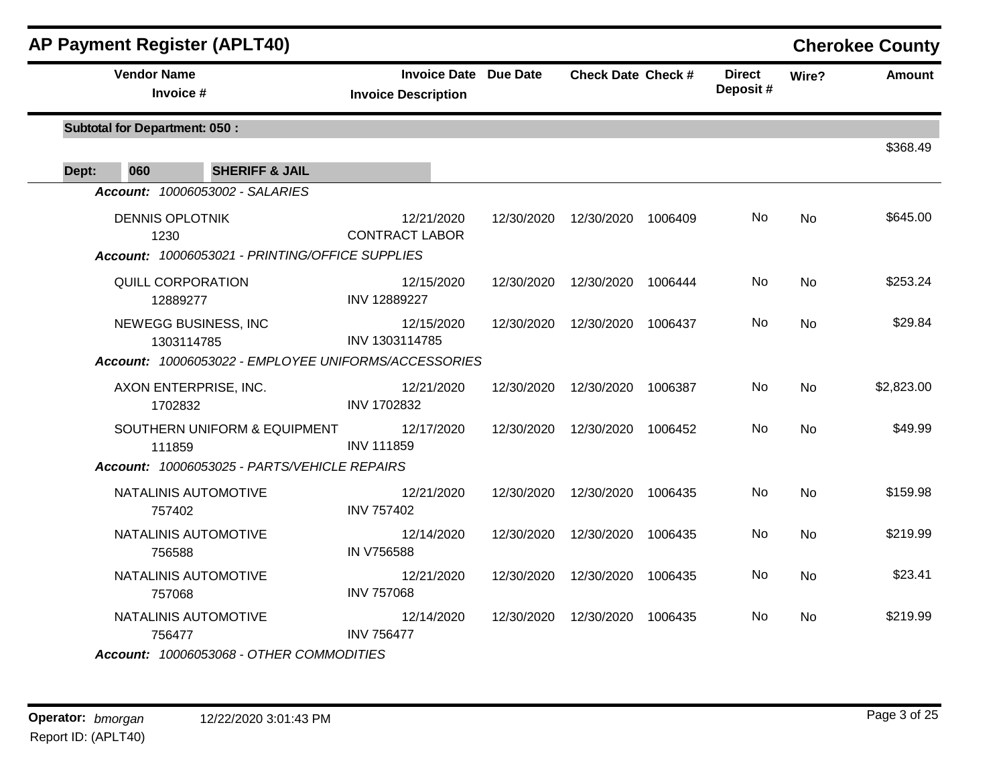| AP Payment Register (APLT40)                         |                                                     |            |                                 |         |                           |           | <b>Cherokee County</b> |
|------------------------------------------------------|-----------------------------------------------------|------------|---------------------------------|---------|---------------------------|-----------|------------------------|
| <b>Vendor Name</b><br>Invoice #                      | Invoice Date Due Date<br><b>Invoice Description</b> |            | <b>Check Date Check #</b>       |         | <b>Direct</b><br>Deposit# | Wire?     | <b>Amount</b>          |
| <b>Subtotal for Department: 050:</b>                 |                                                     |            |                                 |         |                           |           | \$368.49               |
| Dept:<br>060<br><b>SHERIFF &amp; JAIL</b>            |                                                     |            |                                 |         |                           |           |                        |
| Account: 10006053002 - SALARIES                      |                                                     |            |                                 |         |                           |           |                        |
| <b>DENNIS OPLOTNIK</b><br>1230                       | 12/21/2020<br><b>CONTRACT LABOR</b>                 | 12/30/2020 | 12/30/2020 1006409              |         | No.                       | <b>No</b> | \$645.00               |
| Account: 10006053021 - PRINTING/OFFICE SUPPLIES      |                                                     |            |                                 |         |                           |           |                        |
| QUILL CORPORATION<br>12889277                        | 12/15/2020<br>INV 12889227                          |            | 12/30/2020  12/30/2020  1006444 |         | No                        | <b>No</b> | \$253.24               |
| NEWEGG BUSINESS, INC<br>1303114785                   | 12/15/2020<br>INV 1303114785                        | 12/30/2020 | 12/30/2020                      | 1006437 | No                        | No        | \$29.84                |
| Account: 10006053022 - EMPLOYEE UNIFORMS/ACCESSORIES |                                                     |            |                                 |         |                           |           |                        |
| AXON ENTERPRISE, INC.<br>1702832                     | 12/21/2020<br>INV 1702832                           | 12/30/2020 | 12/30/2020 1006387              |         | No                        | No        | \$2,823.00             |
| SOUTHERN UNIFORM & EQUIPMENT<br>111859               | 12/17/2020<br><b>INV 111859</b>                     | 12/30/2020 | 12/30/2020 1006452              |         | No                        | <b>No</b> | \$49.99                |
| Account: 10006053025 - PARTS/VEHICLE REPAIRS         |                                                     |            |                                 |         |                           |           |                        |
| NATALINIS AUTOMOTIVE<br>757402                       | 12/21/2020<br><b>INV 757402</b>                     | 12/30/2020 | 12/30/2020                      | 1006435 | No                        | <b>No</b> | \$159.98               |
| NATALINIS AUTOMOTIVE<br>756588                       | 12/14/2020<br>IN V756588                            | 12/30/2020 | 12/30/2020                      | 1006435 | No                        | No        | \$219.99               |
| NATALINIS AUTOMOTIVE<br>757068                       | 12/21/2020<br><b>INV 757068</b>                     | 12/30/2020 | 12/30/2020                      | 1006435 | No                        | <b>No</b> | \$23.41                |
| NATALINIS AUTOMOTIVE<br>756477                       | 12/14/2020<br><b>INV 756477</b>                     | 12/30/2020 | 12/30/2020 1006435              |         | No                        | No        | \$219.99               |
| Account: 10006053068 - OTHER COMMODITIES             |                                                     |            |                                 |         |                           |           |                        |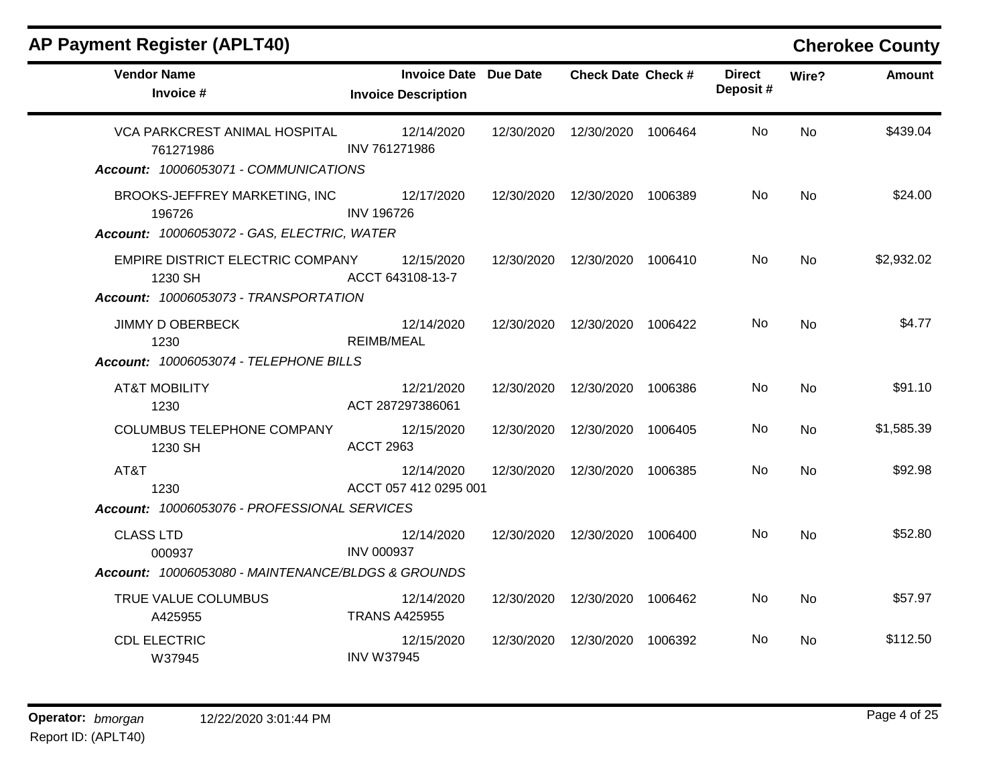| <b>Vendor Name</b><br>Invoice #                                                                                                 | <b>Invoice Date Due Date</b><br><b>Invoice Description</b> |            | <b>Check Date Check #</b>       |         | <b>Direct</b><br>Deposit# | Wire?     | <b>Amount</b> |
|---------------------------------------------------------------------------------------------------------------------------------|------------------------------------------------------------|------------|---------------------------------|---------|---------------------------|-----------|---------------|
| VCA PARKCREST ANIMAL HOSPITAL<br>761271986                                                                                      | 12/14/2020<br>INV 761271986                                | 12/30/2020 | 12/30/2020                      | 1006464 | No                        | <b>No</b> | \$439.04      |
| Account: 10006053071 - COMMUNICATIONS<br>BROOKS-JEFFREY MARKETING, INC<br>196726<br>Account: 10006053072 - GAS, ELECTRIC, WATER | 12/17/2020<br><b>INV 196726</b>                            |            | 12/30/2020  12/30/2020  1006389 |         | No                        | No.       | \$24.00       |
| EMPIRE DISTRICT ELECTRIC COMPANY<br>1230 SH<br>Account: 10006053073 - TRANSPORTATION                                            | 12/15/2020<br>ACCT 643108-13-7                             |            | 12/30/2020  12/30/2020  1006410 |         | No                        | <b>No</b> | \$2,932.02    |
| <b>JIMMY D OBERBECK</b><br>1230<br>Account: 10006053074 - TELEPHONE BILLS                                                       | 12/14/2020<br><b>REIMB/MEAL</b>                            |            | 12/30/2020  12/30/2020  1006422 |         | No                        | <b>No</b> | \$4.77        |
| <b>AT&amp;T MOBILITY</b><br>1230                                                                                                | 12/21/2020<br>ACT 287297386061                             |            | 12/30/2020  12/30/2020  1006386 |         | No                        | <b>No</b> | \$91.10       |
| COLUMBUS TELEPHONE COMPANY<br>1230 SH                                                                                           | 12/15/2020<br><b>ACCT 2963</b>                             | 12/30/2020 | 12/30/2020                      | 1006405 | No.                       | No.       | \$1,585.39    |
| AT&T<br>1230<br>Account: 10006053076 - PROFESSIONAL SERVICES                                                                    | 12/14/2020<br>ACCT 057 412 0295 001                        | 12/30/2020 | 12/30/2020                      | 1006385 | No.                       | No        | \$92.98       |
| <b>CLASS LTD</b><br>000937<br>Account: 10006053080 - MAINTENANCE/BLDGS & GROUNDS                                                | 12/14/2020<br><b>INV 000937</b>                            |            | 12/30/2020  12/30/2020          | 1006400 | No.                       | No        | \$52.80       |
| TRUE VALUE COLUMBUS<br>A425955                                                                                                  | 12/14/2020<br><b>TRANS A425955</b>                         | 12/30/2020 | 12/30/2020                      | 1006462 | No                        | No        | \$57.97       |
| <b>CDL ELECTRIC</b><br>W37945                                                                                                   | 12/15/2020<br><b>INV W37945</b>                            | 12/30/2020 | 12/30/2020                      | 1006392 | No.                       | No.       | \$112.50      |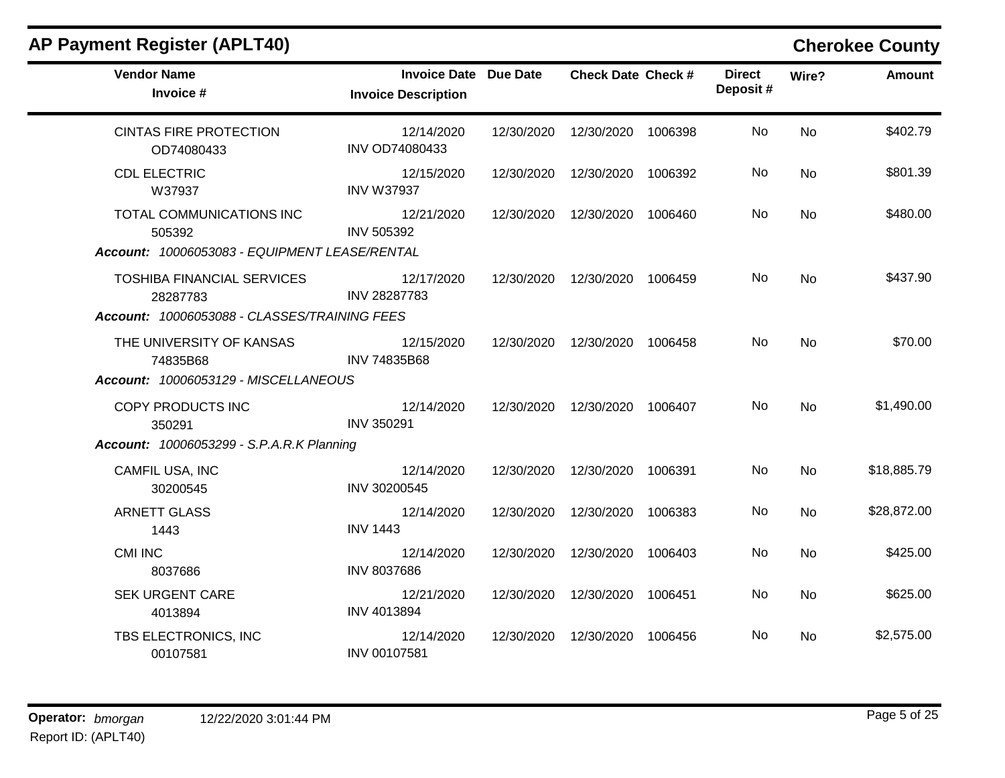| <b>Vendor Name</b><br>Invoice #                                                               | Invoice Date Due Date<br><b>Invoice Description</b> | <b>Check Date Check #</b>       | <b>Direct</b><br>Deposit# | Wire?     | <b>Amount</b> |
|-----------------------------------------------------------------------------------------------|-----------------------------------------------------|---------------------------------|---------------------------|-----------|---------------|
| <b>CINTAS FIRE PROTECTION</b><br>OD74080433                                                   | 12/14/2020<br>INV OD74080433                        | 12/30/2020  12/30/2020  1006398 | No                        | <b>No</b> | \$402.79      |
| <b>CDL ELECTRIC</b><br>W37937                                                                 | 12/15/2020<br><b>INV W37937</b>                     | 12/30/2020  12/30/2020  1006392 | No                        | <b>No</b> | \$801.39      |
| TOTAL COMMUNICATIONS INC<br>505392<br>Account: 10006053083 - EQUIPMENT LEASE/RENTAL           | 12/21/2020<br>INV 505392                            | 12/30/2020  12/30/2020  1006460 | No.                       | <b>No</b> | \$480.00      |
| <b>TOSHIBA FINANCIAL SERVICES</b><br>28287783<br>Account: 10006053088 - CLASSES/TRAINING FEES | 12/17/2020<br>INV 28287783                          | 12/30/2020  12/30/2020  1006459 | No.                       | No        | \$437.90      |
| THE UNIVERSITY OF KANSAS<br>74835B68<br>Account: 10006053129 - MISCELLANEOUS                  | 12/15/2020<br>INV 74835B68                          | 12/30/2020  12/30/2020  1006458 | No.                       | <b>No</b> | \$70.00       |
| COPY PRODUCTS INC<br>350291<br><b>Account: 10006053299 - S.P.A.R.K Planning</b>               | 12/14/2020<br>INV 350291                            | 12/30/2020  12/30/2020  1006407 | No.                       | <b>No</b> | \$1,490.00    |
| CAMFIL USA, INC<br>30200545                                                                   | 12/14/2020<br>INV 30200545                          | 12/30/2020  12/30/2020  1006391 | No                        | <b>No</b> | \$18,885.79   |
| <b>ARNETT GLASS</b><br>1443                                                                   | 12/14/2020<br><b>INV 1443</b>                       | 12/30/2020  12/30/2020  1006383 | No                        | <b>No</b> | \$28,872.00   |
| CMI INC<br>8037686                                                                            | 12/14/2020<br>INV 8037686                           | 12/30/2020  12/30/2020  1006403 | No.                       | <b>No</b> | \$425.00      |
| <b>SEK URGENT CARE</b><br>4013894                                                             | 12/21/2020<br>INV 4013894                           | 12/30/2020  12/30/2020  1006451 | No                        | No        | \$625.00      |
| TBS ELECTRONICS, INC<br>00107581                                                              | 12/14/2020<br>INV 00107581                          | 12/30/2020  12/30/2020  1006456 | No.                       | No        | \$2,575.00    |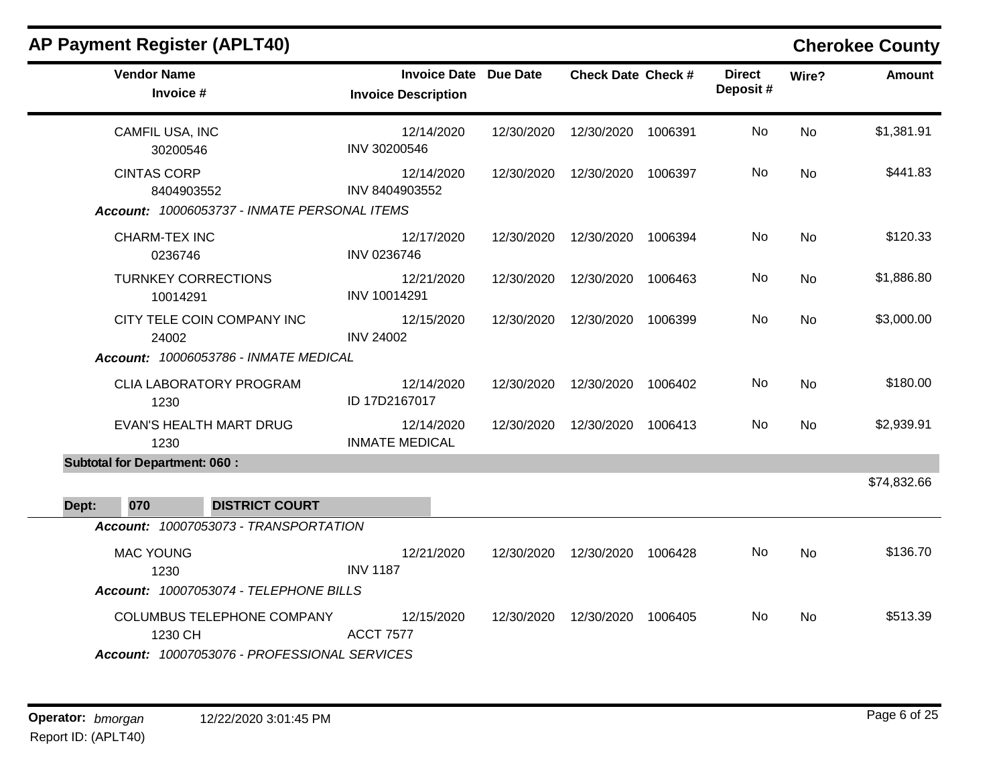| <b>AP Payment Register (APLT40)</b>                                                   | <b>Cherokee County</b><br><b>Vendor Name</b><br><b>Invoice Date Due Date</b><br><b>Check Date Check #</b><br><b>Direct</b><br>Deposit#<br>Invoice #<br><b>Invoice Description</b><br>12/30/2020<br>No.<br>CAMFIL USA, INC<br>12/14/2020<br>12/30/2020<br>1006391<br>INV 30200546<br>30200546<br><b>CINTAS CORP</b><br>12/30/2020<br>No<br>12/14/2020<br>12/30/2020<br>1006397<br>INV 8404903552<br>8404903552<br>Account: 10006053737 - INMATE PERSONAL ITEMS<br><b>CHARM-TEX INC</b><br>12/17/2020<br>12/30/2020<br>12/30/2020<br>1006394<br>No<br>INV 0236746<br>0236746<br><b>TURNKEY CORRECTIONS</b><br>No<br>12/21/2020<br>12/30/2020<br>12/30/2020<br>1006463<br>INV 10014291<br>10014291 |            |            |         |     |           |               |
|---------------------------------------------------------------------------------------|-------------------------------------------------------------------------------------------------------------------------------------------------------------------------------------------------------------------------------------------------------------------------------------------------------------------------------------------------------------------------------------------------------------------------------------------------------------------------------------------------------------------------------------------------------------------------------------------------------------------------------------------------------------------------------------------------|------------|------------|---------|-----|-----------|---------------|
|                                                                                       |                                                                                                                                                                                                                                                                                                                                                                                                                                                                                                                                                                                                                                                                                                 |            |            |         |     | Wire?     | <b>Amount</b> |
|                                                                                       |                                                                                                                                                                                                                                                                                                                                                                                                                                                                                                                                                                                                                                                                                                 |            |            |         |     | <b>No</b> | \$1,381.91    |
|                                                                                       |                                                                                                                                                                                                                                                                                                                                                                                                                                                                                                                                                                                                                                                                                                 |            |            |         |     | <b>No</b> | \$441.83      |
|                                                                                       |                                                                                                                                                                                                                                                                                                                                                                                                                                                                                                                                                                                                                                                                                                 |            |            |         |     | <b>No</b> | \$120.33      |
|                                                                                       |                                                                                                                                                                                                                                                                                                                                                                                                                                                                                                                                                                                                                                                                                                 |            |            |         |     | <b>No</b> | \$1,886.80    |
| CITY TELE COIN COMPANY INC<br>24002<br>Account: 10006053786 - INMATE MEDICAL          | 12/15/2020<br><b>INV 24002</b>                                                                                                                                                                                                                                                                                                                                                                                                                                                                                                                                                                                                                                                                  | 12/30/2020 | 12/30/2020 | 1006399 | No. | <b>No</b> | \$3,000.00    |
| <b>CLIA LABORATORY PROGRAM</b><br>1230                                                | 12/14/2020<br>ID 17D2167017                                                                                                                                                                                                                                                                                                                                                                                                                                                                                                                                                                                                                                                                     | 12/30/2020 | 12/30/2020 | 1006402 | No  | <b>No</b> | \$180.00      |
| <b>EVAN'S HEALTH MART DRUG</b><br>1230                                                | 12/14/2020<br><b>INMATE MEDICAL</b>                                                                                                                                                                                                                                                                                                                                                                                                                                                                                                                                                                                                                                                             | 12/30/2020 | 12/30/2020 | 1006413 | No  | <b>No</b> | \$2,939.91    |
| <b>Subtotal for Department: 060:</b>                                                  |                                                                                                                                                                                                                                                                                                                                                                                                                                                                                                                                                                                                                                                                                                 |            |            |         |     |           | \$74,832.66   |
| 070<br><b>DISTRICT COURT</b><br>Dept:<br>Account: 10007053073 - TRANSPORTATION        |                                                                                                                                                                                                                                                                                                                                                                                                                                                                                                                                                                                                                                                                                                 |            |            |         |     |           |               |
| <b>MAC YOUNG</b><br>1230<br>Account: 10007053074 - TELEPHONE BILLS                    | 12/21/2020<br><b>INV 1187</b>                                                                                                                                                                                                                                                                                                                                                                                                                                                                                                                                                                                                                                                                   | 12/30/2020 | 12/30/2020 | 1006428 | No. | <b>No</b> | \$136.70      |
| COLUMBUS TELEPHONE COMPANY<br>1230 CH<br>Account: 10007053076 - PROFESSIONAL SERVICES | 12/15/2020<br><b>ACCT 7577</b>                                                                                                                                                                                                                                                                                                                                                                                                                                                                                                                                                                                                                                                                  | 12/30/2020 | 12/30/2020 | 1006405 | No  | <b>No</b> | \$513.39      |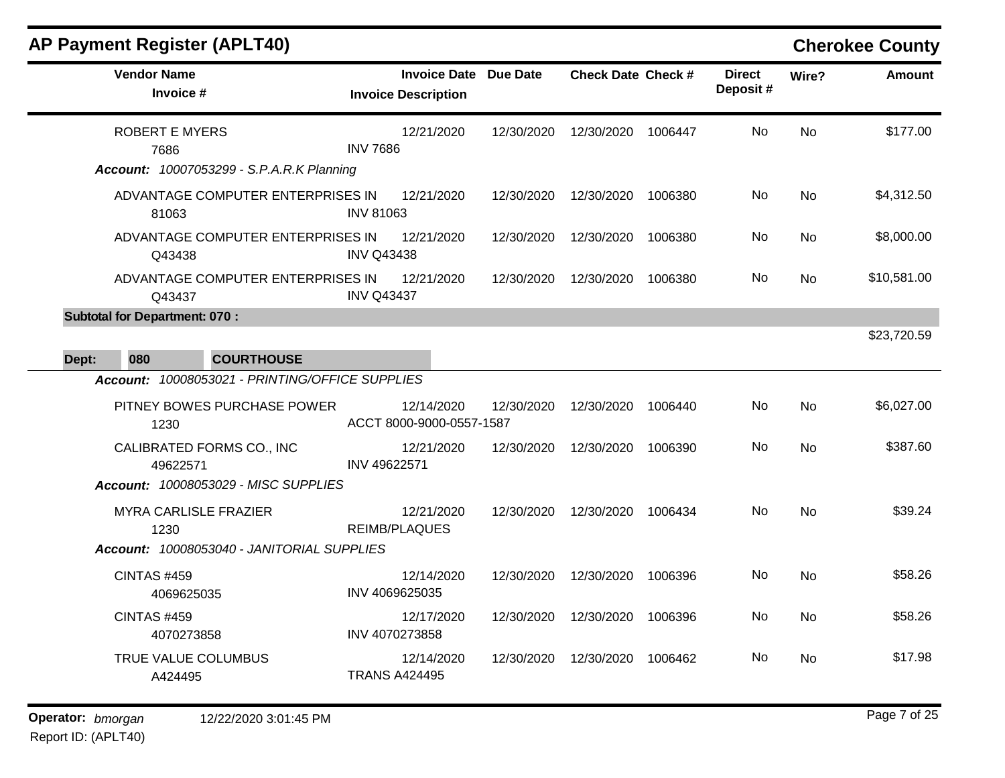| <b>Vendor Name</b><br>Invoice #                                                   | <b>Invoice Date</b><br><b>Invoice Description</b> | Due Date   | <b>Check Date Check #</b> |         | <b>Direct</b><br>Deposit# | Wire?     | <b>Amount</b> |
|-----------------------------------------------------------------------------------|---------------------------------------------------|------------|---------------------------|---------|---------------------------|-----------|---------------|
| <b>ROBERT E MYERS</b><br>7686<br><b>Account: 10007053299 - S.P.A.R.K Planning</b> | 12/21/2020<br><b>INV 7686</b>                     | 12/30/2020 | 12/30/2020                | 1006447 | No                        | <b>No</b> | \$177.00      |
| ADVANTAGE COMPUTER ENTERPRISES IN<br>81063                                        | 12/21/2020<br><b>INV 81063</b>                    | 12/30/2020 | 12/30/2020                | 1006380 | No.                       | <b>No</b> | \$4,312.50    |
| ADVANTAGE COMPUTER ENTERPRISES IN<br>Q43438                                       | 12/21/2020<br><b>INV Q43438</b>                   | 12/30/2020 | 12/30/2020                | 1006380 | No                        | <b>No</b> | \$8,000.00    |
| ADVANTAGE COMPUTER ENTERPRISES IN<br>Q43437                                       | 12/21/2020<br><b>INV Q43437</b>                   | 12/30/2020 | 12/30/2020                | 1006380 | No.                       | <b>No</b> | \$10,581.00   |
| <b>Subtotal for Department: 070:</b><br>080<br><b>COURTHOUSE</b><br>Dept:         |                                                   |            |                           |         |                           |           | \$23,720.59   |
| Account: 10008053021 - PRINTING/OFFICE SUPPLIES                                   |                                                   |            |                           |         |                           |           |               |
| PITNEY BOWES PURCHASE POWER<br>1230                                               | 12/14/2020<br>ACCT 8000-9000-0557-1587            | 12/30/2020 | 12/30/2020                | 1006440 | No                        | <b>No</b> | \$6,027.00    |
| CALIBRATED FORMS CO., INC<br>49622571                                             | 12/21/2020<br>INV 49622571                        | 12/30/2020 | 12/30/2020                | 1006390 | No                        | <b>No</b> | \$387.60      |
| <b>Account: 10008053029 - MISC SUPPLIES</b>                                       |                                                   |            |                           |         |                           |           |               |
| <b>MYRA CARLISLE FRAZIER</b><br>1230                                              | 12/21/2020<br><b>REIMB/PLAQUES</b>                | 12/30/2020 | 12/30/2020                | 1006434 | No                        | <b>No</b> | \$39.24       |
| Account: 10008053040 - JANITORIAL SUPPLIES                                        |                                                   |            |                           |         |                           |           |               |
| <b>CINTAS #459</b><br>4069625035                                                  | 12/14/2020<br>INV 4069625035                      | 12/30/2020 | 12/30/2020                | 1006396 | <b>No</b>                 | <b>No</b> | \$58.26       |
| <b>CINTAS #459</b><br>4070273858                                                  | 12/17/2020<br>INV 4070273858                      | 12/30/2020 | 12/30/2020                | 1006396 | No                        | <b>No</b> | \$58.26       |
| TRUE VALUE COLUMBUS<br>A424495                                                    | 12/14/2020<br><b>TRANS A424495</b>                | 12/30/2020 | 12/30/2020                | 1006462 | <b>No</b>                 | <b>No</b> | \$17.98       |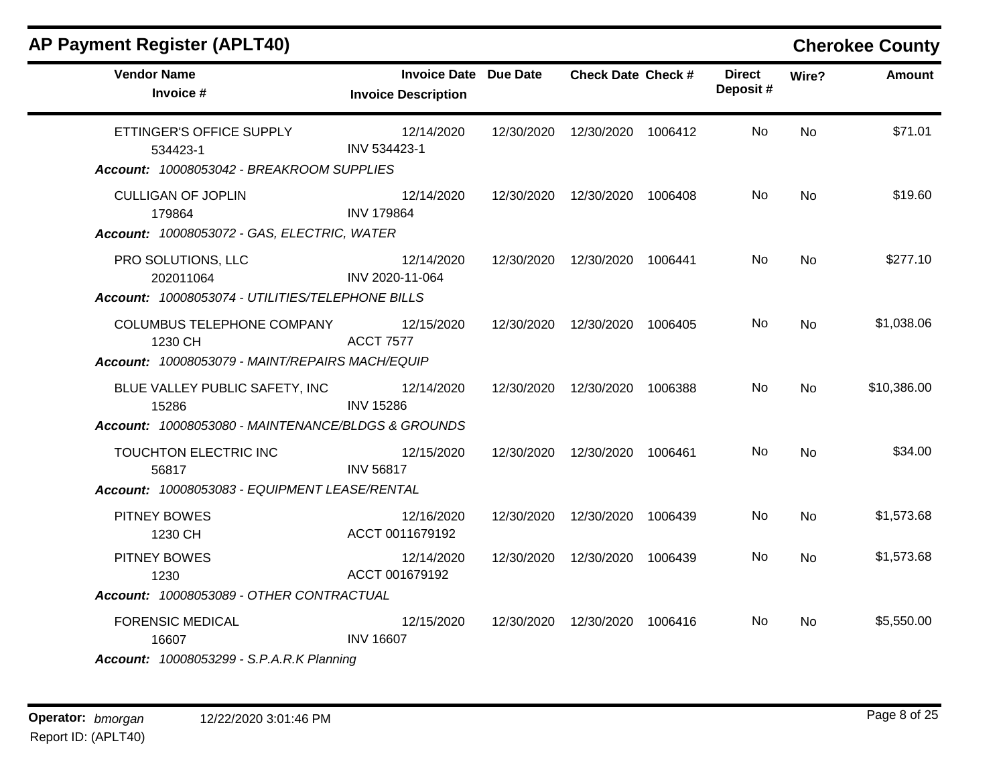| <b>AP Payment Register (APLT40)</b>                                                           |                                                            |                                 |                           |           | <b>Cherokee County</b> |
|-----------------------------------------------------------------------------------------------|------------------------------------------------------------|---------------------------------|---------------------------|-----------|------------------------|
| <b>Vendor Name</b><br>Invoice #                                                               | <b>Invoice Date Due Date</b><br><b>Invoice Description</b> | <b>Check Date Check #</b>       | <b>Direct</b><br>Deposit# | Wire?     | <b>Amount</b>          |
| ETTINGER'S OFFICE SUPPLY<br>534423-1<br>Account: 10008053042 - BREAKROOM SUPPLIES             | 12/14/2020<br>INV 534423-1                                 | 12/30/2020  12/30/2020  1006412 | No.                       | <b>No</b> | \$71.01                |
| <b>CULLIGAN OF JOPLIN</b><br>179864<br>Account: 10008053072 - GAS, ELECTRIC, WATER            | 12/14/2020<br><b>INV 179864</b>                            | 12/30/2020  12/30/2020  1006408 | No.                       | <b>No</b> | \$19.60                |
| PRO SOLUTIONS, LLC<br>202011064<br>Account: 10008053074 - UTILITIES/TELEPHONE BILLS           | 12/14/2020<br>INV 2020-11-064                              | 12/30/2020  12/30/2020  1006441 | No                        | <b>No</b> | \$277.10               |
| COLUMBUS TELEPHONE COMPANY<br>1230 CH<br>Account: 10008053079 - MAINT/REPAIRS MACH/EQUIP      | 12/15/2020<br><b>ACCT 7577</b>                             | 12/30/2020  12/30/2020  1006405 | No.                       | No        | \$1,038.06             |
| BLUE VALLEY PUBLIC SAFETY, INC<br>15286<br>Account: 10008053080 - MAINTENANCE/BLDGS & GROUNDS | 12/14/2020<br><b>INV 15286</b>                             | 12/30/2020  12/30/2020  1006388 | No.                       | <b>No</b> | \$10,386.00            |
| TOUCHTON ELECTRIC INC<br>56817<br>Account: 10008053083 - EQUIPMENT LEASE/RENTAL               | 12/15/2020<br><b>INV 56817</b>                             | 12/30/2020  12/30/2020  1006461 | No.                       | No.       | \$34.00                |
| <b>PITNEY BOWES</b><br>1230 CH                                                                | 12/16/2020<br>ACCT 0011679192                              | 12/30/2020  12/30/2020  1006439 | No.                       | <b>No</b> | \$1,573.68             |
| PITNEY BOWES<br>1230<br>Account: 10008053089 - OTHER CONTRACTUAL                              | 12/14/2020<br>ACCT 001679192                               | 12/30/2020  12/30/2020  1006439 | No.                       | No        | \$1,573.68             |
| <b>FORENSIC MEDICAL</b><br>16607<br><b>Account: 10008053299 - S.P.A.R.K Planning</b>          | 12/15/2020<br><b>INV 16607</b>                             | 12/30/2020  12/30/2020  1006416 | No.                       | <b>No</b> | \$5,550.00             |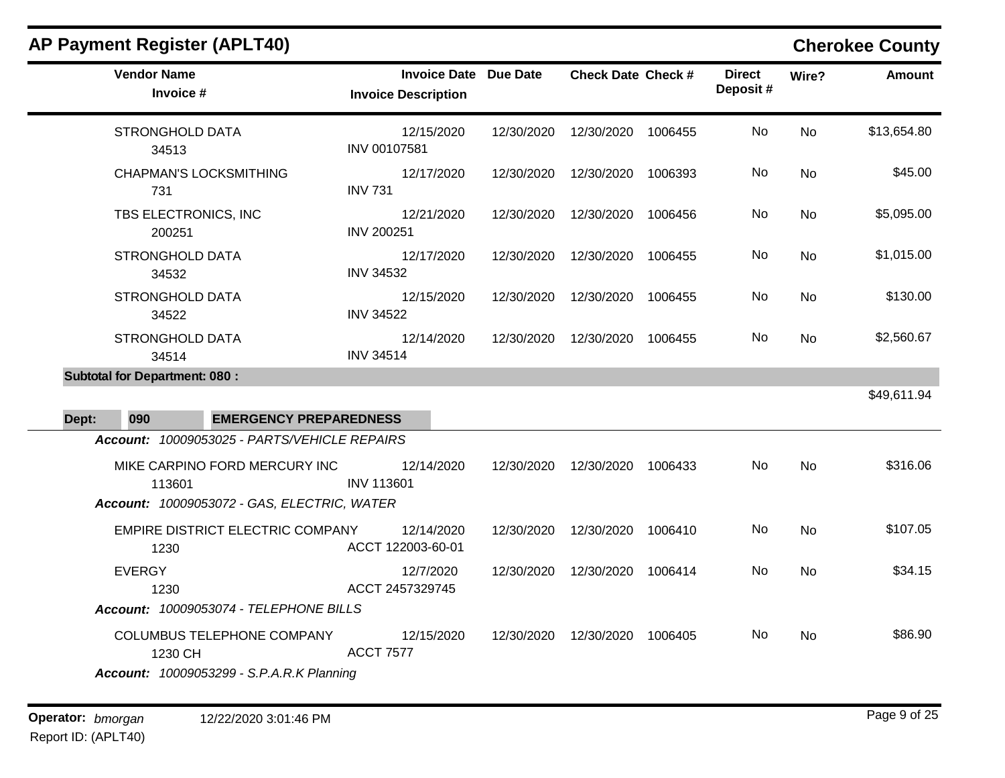|       | <b>AP Payment Register (APLT40)</b>                                                       |                   |                                                            |            |                           |         |                           |           | <b>Cherokee County</b> |
|-------|-------------------------------------------------------------------------------------------|-------------------|------------------------------------------------------------|------------|---------------------------|---------|---------------------------|-----------|------------------------|
|       | <b>Vendor Name</b><br>Invoice #                                                           |                   | <b>Invoice Date Due Date</b><br><b>Invoice Description</b> |            | <b>Check Date Check #</b> |         | <b>Direct</b><br>Deposit# | Wire?     | <b>Amount</b>          |
|       | <b>STRONGHOLD DATA</b><br>34513                                                           | INV 00107581      | 12/15/2020                                                 | 12/30/2020 | 12/30/2020                | 1006455 | No                        | <b>No</b> | \$13,654.80            |
|       | <b>CHAPMAN'S LOCKSMITHING</b><br>731                                                      | <b>INV 731</b>    | 12/17/2020                                                 | 12/30/2020 | 12/30/2020                | 1006393 | No                        | <b>No</b> | \$45.00                |
|       | TBS ELECTRONICS, INC<br>200251                                                            | <b>INV 200251</b> | 12/21/2020                                                 | 12/30/2020 | 12/30/2020                | 1006456 | No                        | No.       | \$5,095.00             |
|       | <b>STRONGHOLD DATA</b><br>34532                                                           | <b>INV 34532</b>  | 12/17/2020                                                 | 12/30/2020 | 12/30/2020                | 1006455 | No                        | <b>No</b> | \$1,015.00             |
|       | <b>STRONGHOLD DATA</b><br>34522                                                           | <b>INV 34522</b>  | 12/15/2020                                                 | 12/30/2020 | 12/30/2020                | 1006455 | No                        | <b>No</b> | \$130.00               |
|       | STRONGHOLD DATA<br>34514                                                                  | <b>INV 34514</b>  | 12/14/2020                                                 | 12/30/2020 | 12/30/2020                | 1006455 | No                        | No        | \$2,560.67             |
|       | <b>Subtotal for Department: 080:</b>                                                      |                   |                                                            |            |                           |         |                           |           |                        |
| Dept: | 090<br><b>EMERGENCY PREPAREDNESS</b>                                                      |                   |                                                            |            |                           |         |                           |           | \$49,611.94            |
|       | Account: 10009053025 - PARTS/VEHICLE REPAIRS                                              |                   |                                                            |            |                           |         |                           |           |                        |
|       | MIKE CARPINO FORD MERCURY INC<br>113601                                                   | <b>INV 113601</b> | 12/14/2020                                                 | 12/30/2020 | 12/30/2020                | 1006433 | No                        | <b>No</b> | \$316.06               |
|       | Account: 10009053072 - GAS, ELECTRIC, WATER                                               |                   |                                                            |            |                           |         |                           |           |                        |
|       | EMPIRE DISTRICT ELECTRIC COMPANY<br>1230                                                  |                   | 12/14/2020<br>ACCT 122003-60-01                            | 12/30/2020 | 12/30/2020                | 1006410 | No                        | No        | \$107.05               |
|       | <b>EVERGY</b><br>1230                                                                     |                   | 12/7/2020<br>ACCT 2457329745                               | 12/30/2020 | 12/30/2020                | 1006414 | No                        | <b>No</b> | \$34.15                |
|       | Account: 10009053074 - TELEPHONE BILLS                                                    |                   |                                                            |            |                           |         |                           |           |                        |
|       | COLUMBUS TELEPHONE COMPANY<br>1230 CH<br><b>Account: 10009053299 - S.P.A.R.K Planning</b> | <b>ACCT 7577</b>  | 12/15/2020                                                 | 12/30/2020 | 12/30/2020                | 1006405 | No                        | No.       | \$86.90                |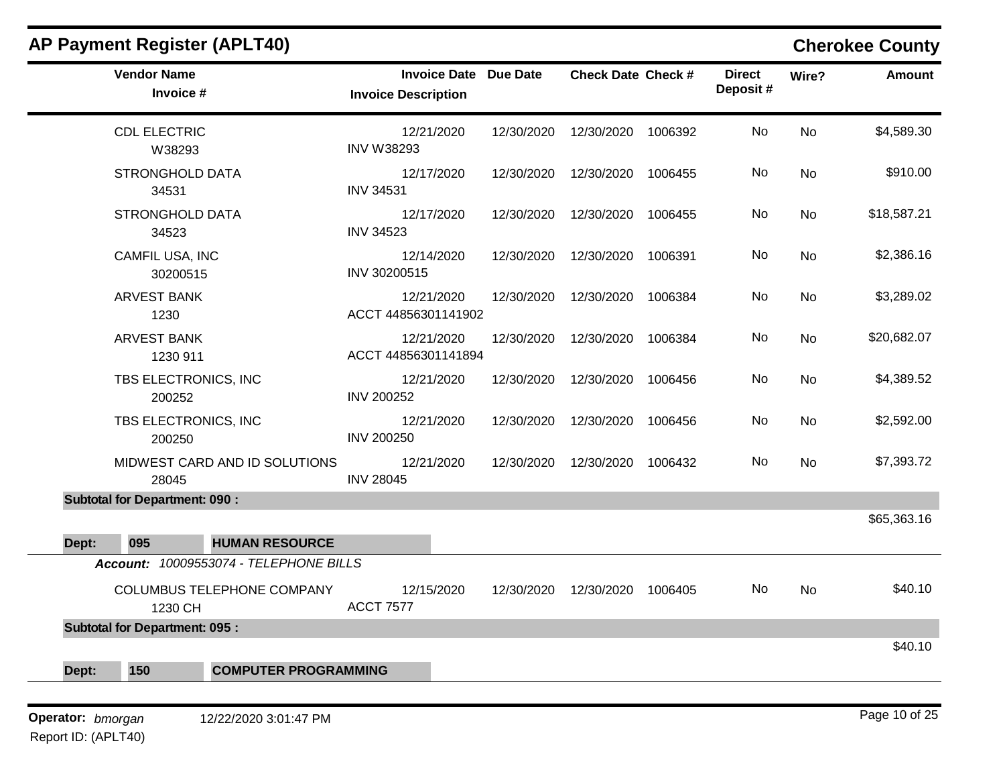| <b>AP Payment Register (APLT40)</b>         |                                                            |            |                           |         |                           |                                                                 | <b>Cherokee County</b> |
|---------------------------------------------|------------------------------------------------------------|------------|---------------------------|---------|---------------------------|-----------------------------------------------------------------|------------------------|
| <b>Vendor Name</b><br>Invoice #             | <b>Invoice Date Due Date</b><br><b>Invoice Description</b> |            | <b>Check Date Check #</b> |         | <b>Direct</b><br>Deposit# | Wire?                                                           | <b>Amount</b>          |
| <b>CDL ELECTRIC</b><br>W38293               | 12/21/2020<br><b>INV W38293</b>                            | 12/30/2020 | 12/30/2020                | 1006392 | No                        | No<br>No<br>No<br>No<br>No<br>No<br>No<br>No<br>No<br><b>No</b> | \$4,589.30             |
| <b>STRONGHOLD DATA</b><br>34531             | 12/17/2020<br><b>INV 34531</b>                             | 12/30/2020 | 12/30/2020                | 1006455 | No                        |                                                                 | \$910.00               |
| <b>STRONGHOLD DATA</b><br>34523             | 12/17/2020<br><b>INV 34523</b>                             | 12/30/2020 | 12/30/2020                | 1006455 | No                        |                                                                 | \$18,587.21            |
| CAMFIL USA, INC<br>30200515                 | 12/14/2020<br>INV 30200515                                 | 12/30/2020 | 12/30/2020                | 1006391 | No                        |                                                                 | \$2,386.16             |
| <b>ARVEST BANK</b><br>1230                  | 12/21/2020<br>ACCT 44856301141902                          | 12/30/2020 | 12/30/2020                | 1006384 | No                        |                                                                 | \$3,289.02             |
| <b>ARVEST BANK</b><br>1230 911              | 12/21/2020<br>ACCT 44856301141894                          | 12/30/2020 | 12/30/2020                | 1006384 | No                        |                                                                 | \$20,682.07            |
| TBS ELECTRONICS, INC<br>200252              | 12/21/2020<br><b>INV 200252</b>                            | 12/30/2020 | 12/30/2020                | 1006456 | No                        |                                                                 | \$4,389.52             |
| TBS ELECTRONICS, INC<br>200250              | 12/21/2020<br><b>INV 200250</b>                            | 12/30/2020 | 12/30/2020                | 1006456 | No                        |                                                                 | \$2,592.00             |
| MIDWEST CARD AND ID SOLUTIONS<br>28045      | 12/21/2020<br><b>INV 28045</b>                             | 12/30/2020 | 12/30/2020                | 1006432 | No                        |                                                                 | \$7,393.72             |
| <b>Subtotal for Department: 090:</b>        |                                                            |            |                           |         |                           |                                                                 |                        |
| 095<br><b>HUMAN RESOURCE</b><br>Dept:       |                                                            |            |                           |         |                           |                                                                 | \$65,363.16            |
| Account: 10009553074 - TELEPHONE BILLS      |                                                            |            |                           |         |                           |                                                                 |                        |
| COLUMBUS TELEPHONE COMPANY<br>1230 CH       | 12/15/2020<br><b>ACCT 7577</b>                             | 12/30/2020 | 12/30/2020                | 1006405 | No                        |                                                                 | \$40.10                |
| <b>Subtotal for Department: 095:</b>        |                                                            |            |                           |         |                           |                                                                 |                        |
| 150<br><b>COMPUTER PROGRAMMING</b><br>Dept: |                                                            |            |                           |         |                           |                                                                 | \$40.10                |
| Operator: bmorgan<br>12/22/2020 3:01:47 PM  |                                                            |            |                           |         |                           |                                                                 | Page 10 of 25          |

## Report ID: (APLT40)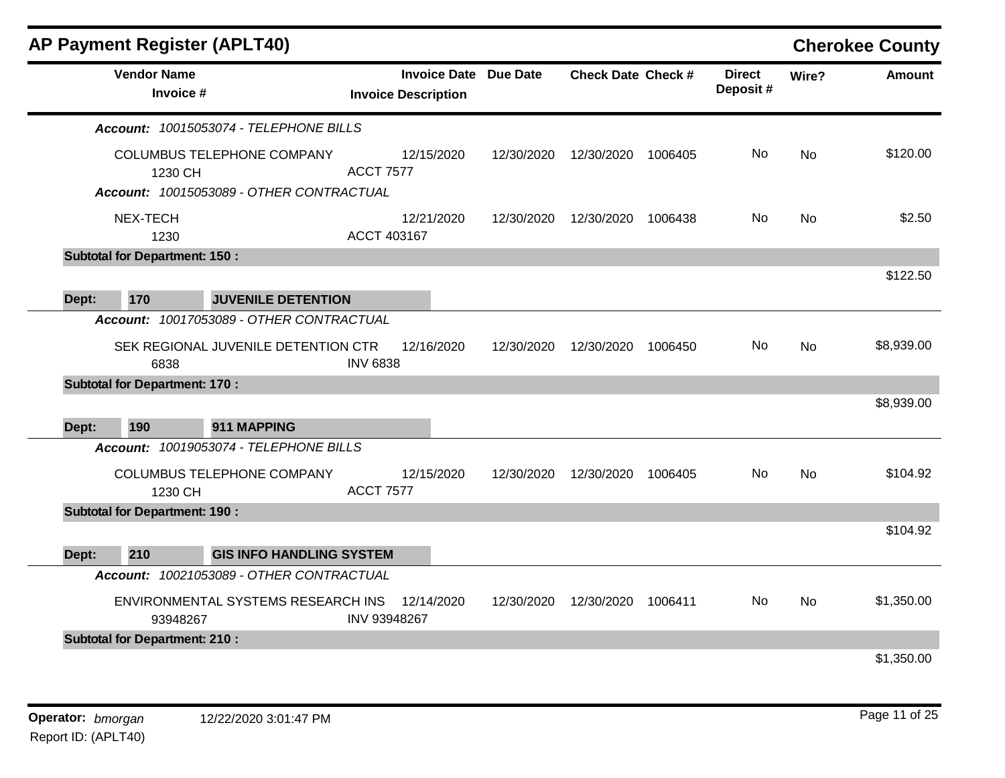|       |                                      | <b>AP Payment Register (APLT40)</b>      |                  |                                                            |            |                           |         |                           |                | <b>Cherokee County</b> |
|-------|--------------------------------------|------------------------------------------|------------------|------------------------------------------------------------|------------|---------------------------|---------|---------------------------|----------------|------------------------|
|       | <b>Vendor Name</b><br>Invoice #      |                                          |                  | <b>Invoice Date Due Date</b><br><b>Invoice Description</b> |            | <b>Check Date Check #</b> |         | <b>Direct</b><br>Deposit# | Wire?          | Amount                 |
|       |                                      | Account: 10015053074 - TELEPHONE BILLS   |                  |                                                            |            |                           |         |                           |                |                        |
|       | 1230 CH                              | <b>COLUMBUS TELEPHONE COMPANY</b>        | <b>ACCT 7577</b> | 12/15/2020                                                 | 12/30/2020 | 12/30/2020                | 1006405 | No.                       | N <sub>o</sub> | \$120.00               |
|       |                                      | Account: 10015053089 - OTHER CONTRACTUAL |                  |                                                            |            |                           |         |                           |                |                        |
|       | NEX-TECH<br>1230                     |                                          | ACCT 403167      | 12/21/2020                                                 | 12/30/2020 | 12/30/2020                | 1006438 | No.                       | <b>No</b>      | \$2.50                 |
|       | <b>Subtotal for Department: 150:</b> |                                          |                  |                                                            |            |                           |         |                           |                |                        |
| Dept: | 170                                  | <b>JUVENILE DETENTION</b>                |                  |                                                            |            |                           |         |                           |                | \$122.50               |
|       |                                      | Account: 10017053089 - OTHER CONTRACTUAL |                  |                                                            |            |                           |         |                           |                |                        |
|       | 6838                                 | SEK REGIONAL JUVENILE DETENTION CTR      | <b>INV 6838</b>  | 12/16/2020                                                 | 12/30/2020 | 12/30/2020                | 1006450 | No.                       | <b>No</b>      | \$8,939.00             |
|       | <b>Subtotal for Department: 170:</b> |                                          |                  |                                                            |            |                           |         |                           |                |                        |
|       |                                      |                                          |                  |                                                            |            |                           |         |                           |                | \$8,939.00             |
| Dept: | 190                                  | 911 MAPPING                              |                  |                                                            |            |                           |         |                           |                |                        |
|       |                                      | Account: 10019053074 - TELEPHONE BILLS   |                  |                                                            |            |                           |         |                           |                |                        |
|       | 1230 CH                              | COLUMBUS TELEPHONE COMPANY               | <b>ACCT 7577</b> | 12/15/2020                                                 | 12/30/2020 | 12/30/2020                | 1006405 | No                        | <b>No</b>      | \$104.92               |
|       | <b>Subtotal for Department: 190:</b> |                                          |                  |                                                            |            |                           |         |                           |                |                        |
|       |                                      |                                          |                  |                                                            |            |                           |         |                           |                | \$104.92               |
| Dept: | 210                                  | <b>GIS INFO HANDLING SYSTEM</b>          |                  |                                                            |            |                           |         |                           |                |                        |
|       |                                      | Account: 10021053089 - OTHER CONTRACTUAL |                  |                                                            |            |                           |         |                           |                |                        |
|       | 93948267                             | ENVIRONMENTAL SYSTEMS RESEARCH INS       | INV 93948267     | 12/14/2020                                                 | 12/30/2020 | 12/30/2020                | 1006411 | No.                       | <b>No</b>      | \$1,350.00             |
|       | <b>Subtotal for Department: 210:</b> |                                          |                  |                                                            |            |                           |         |                           |                |                        |
|       |                                      |                                          |                  |                                                            |            |                           |         |                           |                | \$1,350.00             |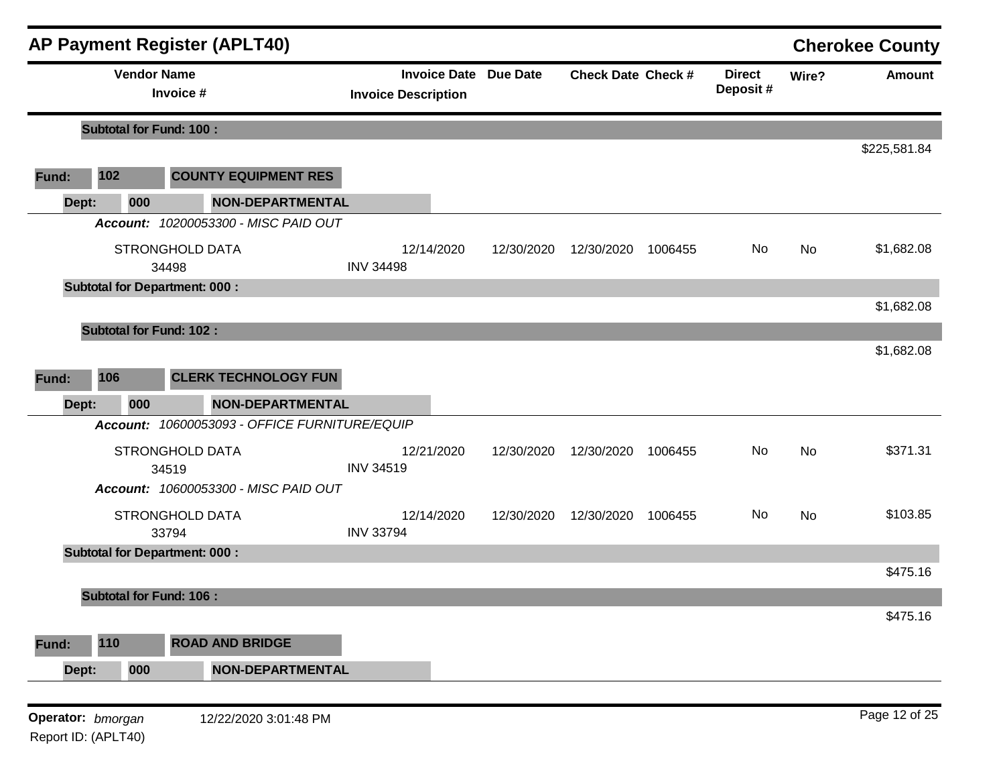| <b>AP Payment Register (APLT40)</b> |                                |                                               |                                                            |            |                           |         |                           | <b>Cherokee County</b> |               |
|-------------------------------------|--------------------------------|-----------------------------------------------|------------------------------------------------------------|------------|---------------------------|---------|---------------------------|------------------------|---------------|
|                                     |                                | <b>Vendor Name</b><br>Invoice #               | <b>Invoice Date Due Date</b><br><b>Invoice Description</b> |            | <b>Check Date Check #</b> |         | <b>Direct</b><br>Deposit# | Wire?                  | <b>Amount</b> |
|                                     | <b>Subtotal for Fund: 100:</b> |                                               |                                                            |            |                           |         |                           |                        |               |
|                                     |                                |                                               |                                                            |            |                           |         |                           |                        | \$225,581.84  |
| Fund:                               | 102                            | <b>COUNTY EQUIPMENT RES</b>                   |                                                            |            |                           |         |                           |                        |               |
|                                     | 000<br>Dept:                   | <b>NON-DEPARTMENTAL</b>                       |                                                            |            |                           |         |                           |                        |               |
|                                     |                                | Account: 10200053300 - MISC PAID OUT          |                                                            |            |                           |         |                           |                        |               |
|                                     |                                | <b>STRONGHOLD DATA</b><br>34498               | 12/14/2020<br><b>INV 34498</b>                             | 12/30/2020 | 12/30/2020                | 1006455 | No                        | <b>No</b>              | \$1,682.08    |
|                                     |                                | <b>Subtotal for Department: 000:</b>          |                                                            |            |                           |         |                           |                        |               |
|                                     |                                |                                               |                                                            |            |                           |         |                           |                        | \$1,682.08    |
|                                     | <b>Subtotal for Fund: 102:</b> |                                               |                                                            |            |                           |         |                           |                        | \$1,682.08    |
|                                     | 106                            | <b>CLERK TECHNOLOGY FUN</b>                   |                                                            |            |                           |         |                           |                        |               |
| Fund:                               |                                |                                               |                                                            |            |                           |         |                           |                        |               |
|                                     | 000<br>Dept:                   | <b>NON-DEPARTMENTAL</b>                       |                                                            |            |                           |         |                           |                        |               |
|                                     |                                | Account: 10600053093 - OFFICE FURNITURE/EQUIP |                                                            |            |                           |         |                           |                        |               |
|                                     |                                | <b>STRONGHOLD DATA</b>                        | 12/21/2020                                                 | 12/30/2020 | 12/30/2020                | 1006455 | No                        | <b>No</b>              | \$371.31      |
|                                     |                                | 34519<br>Account: 10600053300 - MISC PAID OUT | <b>INV 34519</b>                                           |            |                           |         |                           |                        |               |
|                                     |                                | <b>STRONGHOLD DATA</b><br>33794               | 12/14/2020<br><b>INV 33794</b>                             | 12/30/2020 | 12/30/2020                | 1006455 | No                        | No                     | \$103.85      |
|                                     |                                | <b>Subtotal for Department: 000:</b>          |                                                            |            |                           |         |                           |                        |               |
|                                     |                                |                                               |                                                            |            |                           |         |                           |                        | \$475.16      |
|                                     | <b>Subtotal for Fund: 106:</b> |                                               |                                                            |            |                           |         |                           |                        |               |
|                                     |                                |                                               |                                                            |            |                           |         |                           |                        | \$475.16      |
| Fund:                               | 110                            | <b>ROAD AND BRIDGE</b>                        |                                                            |            |                           |         |                           |                        |               |
|                                     | 000<br>Dept:                   | <b>NON-DEPARTMENTAL</b>                       |                                                            |            |                           |         |                           |                        |               |
|                                     |                                |                                               |                                                            |            |                           |         |                           |                        |               |
|                                     | Operator: bmorgan              | 12/22/2020 3:01:48 PM                         |                                                            |            |                           |         |                           |                        | Page 12 of 25 |

Report ID: (APLT40)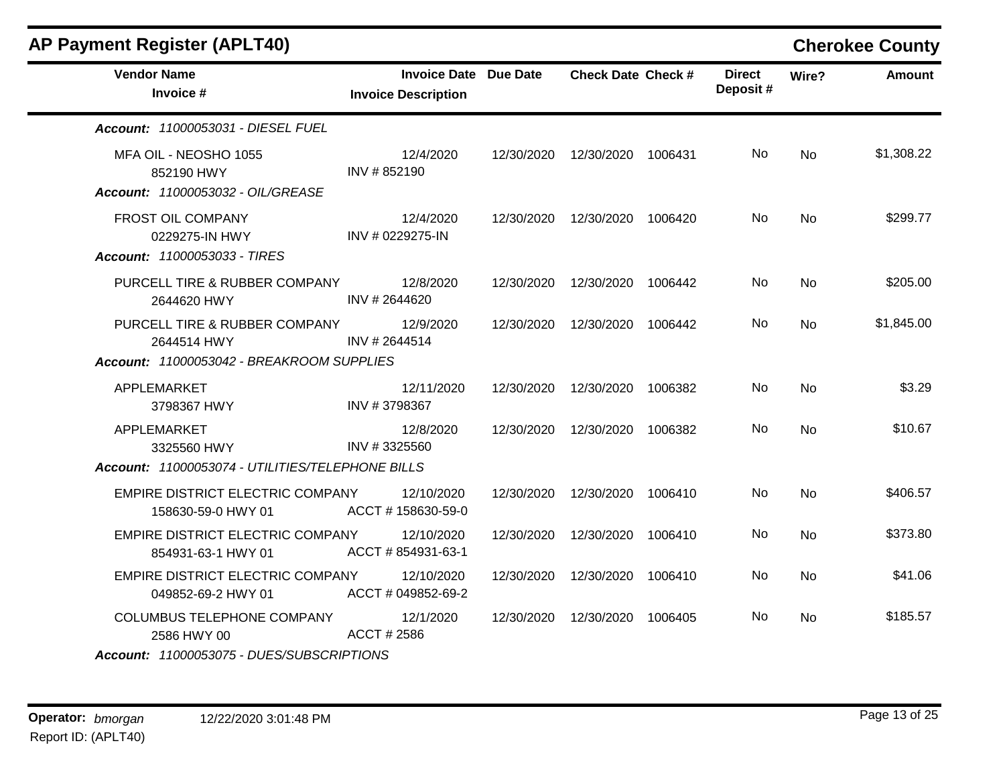| <b>AP Payment Register (APLT40)</b>                                      |                                                            |            |                                 |         |                           |           | <b>Cherokee County</b> |
|--------------------------------------------------------------------------|------------------------------------------------------------|------------|---------------------------------|---------|---------------------------|-----------|------------------------|
| <b>Vendor Name</b><br>Invoice #                                          | <b>Invoice Date Due Date</b><br><b>Invoice Description</b> |            | <b>Check Date Check #</b>       |         | <b>Direct</b><br>Deposit# | Wire?     | <b>Amount</b>          |
| Account: 11000053031 - DIESEL FUEL                                       |                                                            |            |                                 |         |                           |           |                        |
| MFA OIL - NEOSHO 1055<br>852190 HWY<br>Account: 11000053032 - OIL/GREASE | 12/4/2020<br>INV #852190                                   | 12/30/2020 | 12/30/2020 1006431              |         | No                        | No        | \$1,308.22             |
| FROST OIL COMPANY<br>0229275-IN HWY                                      | 12/4/2020<br>INV # 0229275-IN                              |            | 12/30/2020  12/30/2020  1006420 |         | No.                       | <b>No</b> | \$299.77               |
| <b>Account: 11000053033 - TIRES</b>                                      |                                                            |            |                                 |         |                           |           |                        |
| PURCELL TIRE & RUBBER COMPANY<br>2644620 HWY                             | 12/8/2020<br>INV #2644620                                  | 12/30/2020 | 12/30/2020                      | 1006442 | No.                       | <b>No</b> | \$205.00               |
| PURCELL TIRE & RUBBER COMPANY<br>2644514 HWY                             | 12/9/2020<br>INV #2644514                                  | 12/30/2020 | 12/30/2020                      | 1006442 | No.                       | <b>No</b> | \$1,845.00             |
| Account: 11000053042 - BREAKROOM SUPPLIES                                |                                                            |            |                                 |         |                           |           |                        |
| APPLEMARKET<br>3798367 HWY                                               | 12/11/2020<br>INV #3798367                                 | 12/30/2020 | 12/30/2020                      | 1006382 | No                        | <b>No</b> | \$3.29                 |
| APPLEMARKET<br>3325560 HWY                                               | 12/8/2020<br>INV #3325560                                  | 12/30/2020 | 12/30/2020                      | 1006382 | No.                       | No        | \$10.67                |
| Account: 11000053074 - UTILITIES/TELEPHONE BILLS                         |                                                            |            |                                 |         |                           |           |                        |
| EMPIRE DISTRICT ELECTRIC COMPANY<br>158630-59-0 HWY 01                   | 12/10/2020<br>ACCT #158630-59-0                            | 12/30/2020 | 12/30/2020                      | 1006410 | No                        | <b>No</b> | \$406.57               |
| EMPIRE DISTRICT ELECTRIC COMPANY<br>854931-63-1 HWY 01                   | 12/10/2020<br>ACCT #854931-63-1                            | 12/30/2020 | 12/30/2020                      | 1006410 | No.                       | No        | \$373.80               |
| EMPIRE DISTRICT ELECTRIC COMPANY<br>049852-69-2 HWY 01                   | 12/10/2020<br>ACCT # 049852-69-2                           | 12/30/2020 | 12/30/2020                      | 1006410 | No.                       | No        | \$41.06                |
| <b>COLUMBUS TELEPHONE COMPANY</b><br>2586 HWY 00                         | 12/1/2020<br>ACCT # 2586                                   | 12/30/2020 | 12/30/2020                      | 1006405 | No                        | No        | \$185.57               |
| Account: 11000053075 - DUES/SUBSCRIPTIONS                                |                                                            |            |                                 |         |                           |           |                        |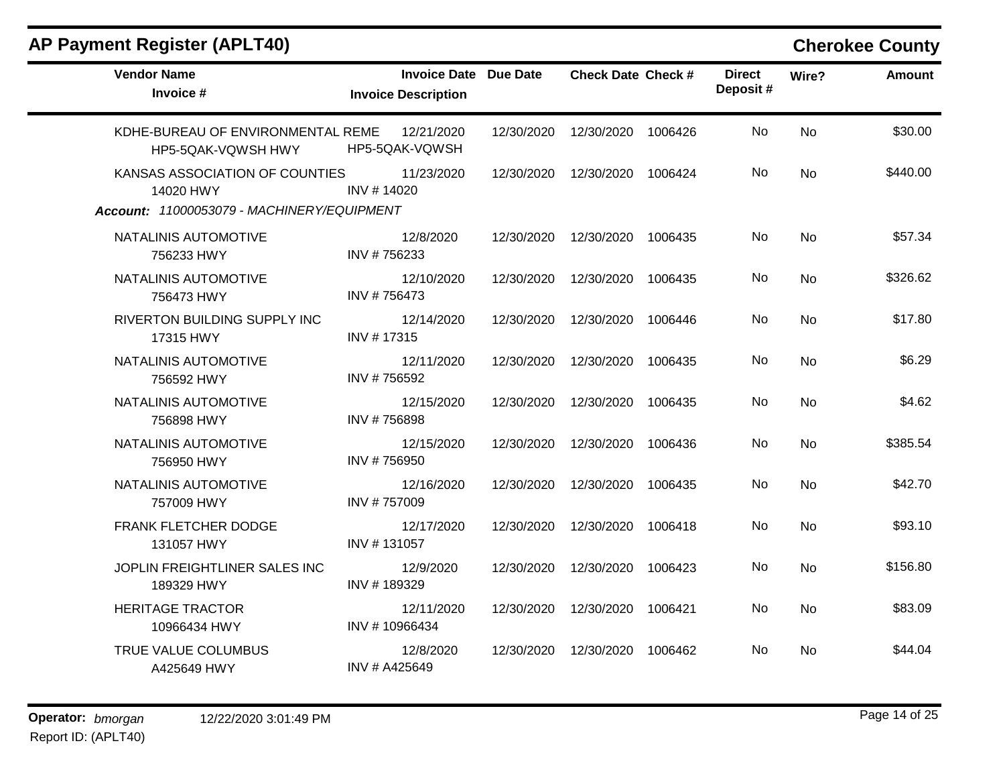| <b>Vendor Name</b><br>Invoice #                                                           | <b>Invoice Date Due Date</b><br><b>Invoice Description</b> |            | <b>Check Date Check #</b> |         | <b>Direct</b><br>Deposit# | Wire?     | <b>Amount</b> |
|-------------------------------------------------------------------------------------------|------------------------------------------------------------|------------|---------------------------|---------|---------------------------|-----------|---------------|
| KDHE-BUREAU OF ENVIRONMENTAL REME<br>HP5-5QAK-VQWSH HWY                                   | 12/21/2020<br>HP5-5QAK-VQWSH                               | 12/30/2020 | 12/30/2020 1006426        |         | No                        | <b>No</b> | \$30.00       |
| KANSAS ASSOCIATION OF COUNTIES<br>14020 HWY<br>Account: 11000053079 - MACHINERY/EQUIPMENT | 11/23/2020<br>INV #14020                                   | 12/30/2020 | 12/30/2020 1006424        |         | No                        | <b>No</b> | \$440.00      |
| NATALINIS AUTOMOTIVE<br>756233 HWY                                                        | 12/8/2020<br>INV #756233                                   | 12/30/2020 | 12/30/2020 1006435        |         | No                        | No        | \$57.34       |
| NATALINIS AUTOMOTIVE<br>756473 HWY                                                        | 12/10/2020<br>INV #756473                                  | 12/30/2020 | 12/30/2020 1006435        |         | No                        | No        | \$326.62      |
| RIVERTON BUILDING SUPPLY INC<br>17315 HWY                                                 | 12/14/2020<br>INV #17315                                   | 12/30/2020 | 12/30/2020 1006446        |         | No                        | No        | \$17.80       |
| NATALINIS AUTOMOTIVE<br>756592 HWY                                                        | 12/11/2020<br>INV #756592                                  | 12/30/2020 | 12/30/2020 1006435        |         | No                        | No        | \$6.29        |
| NATALINIS AUTOMOTIVE<br>756898 HWY                                                        | 12/15/2020<br>INV #756898                                  | 12/30/2020 | 12/30/2020 1006435        |         | No                        | No        | \$4.62        |
| NATALINIS AUTOMOTIVE<br>756950 HWY                                                        | 12/15/2020<br>INV #756950                                  | 12/30/2020 | 12/30/2020                | 1006436 | No                        | No        | \$385.54      |
| NATALINIS AUTOMOTIVE<br>757009 HWY                                                        | 12/16/2020<br>INV #757009                                  | 12/30/2020 | 12/30/2020 1006435        |         | No                        | No        | \$42.70       |
| FRANK FLETCHER DODGE<br>131057 HWY                                                        | 12/17/2020<br>INV #131057                                  | 12/30/2020 | 12/30/2020                | 1006418 | No                        | No        | \$93.10       |
| JOPLIN FREIGHTLINER SALES INC<br>189329 HWY                                               | 12/9/2020<br>INV #189329                                   | 12/30/2020 | 12/30/2020                | 1006423 | No                        | <b>No</b> | \$156.80      |
| <b>HERITAGE TRACTOR</b><br>10966434 HWY                                                   | 12/11/2020<br>INV #10966434                                | 12/30/2020 | 12/30/2020                | 1006421 | No                        | <b>No</b> | \$83.09       |
| TRUE VALUE COLUMBUS<br>A425649 HWY                                                        | 12/8/2020<br>INV # A425649                                 | 12/30/2020 | 12/30/2020                | 1006462 | No                        | No        | \$44.04       |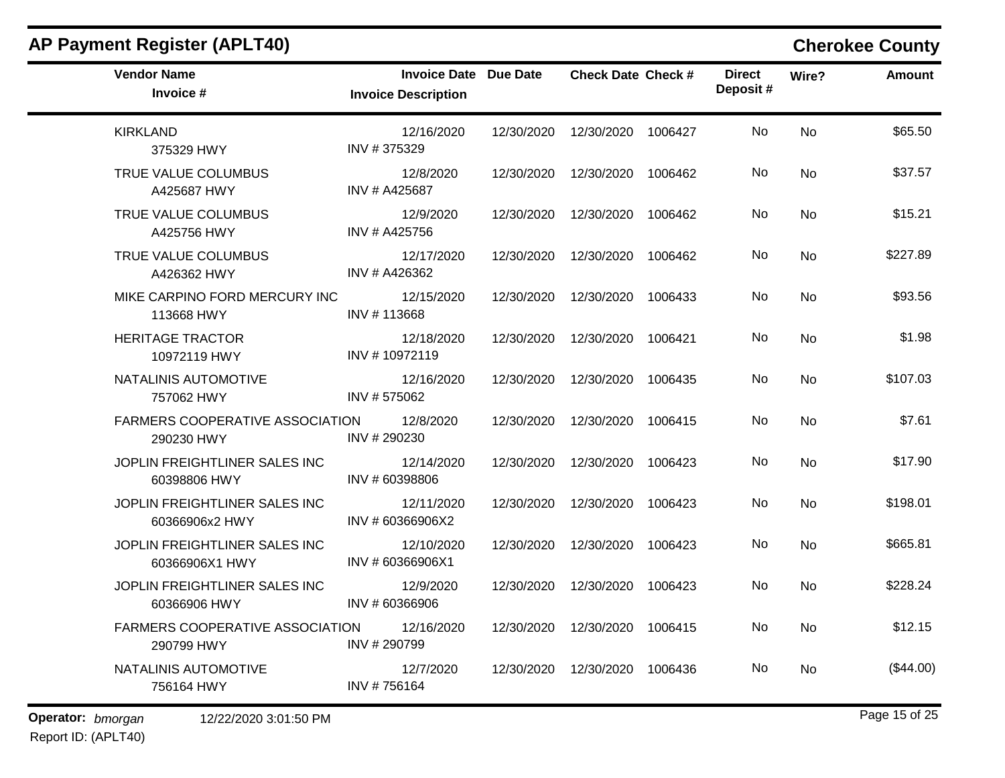| AP Payment Register (APLT40)                         |                                                            |            |                                 |         |                           |           | <b>Cherokee County</b> |
|------------------------------------------------------|------------------------------------------------------------|------------|---------------------------------|---------|---------------------------|-----------|------------------------|
| <b>Vendor Name</b><br>Invoice #                      | <b>Invoice Date Due Date</b><br><b>Invoice Description</b> |            | <b>Check Date Check #</b>       |         | <b>Direct</b><br>Deposit# | Wire?     | <b>Amount</b>          |
| <b>KIRKLAND</b><br>375329 HWY                        | 12/16/2020<br>INV #375329                                  | 12/30/2020 | 12/30/2020                      | 1006427 | No                        | <b>No</b> | \$65.50                |
| TRUE VALUE COLUMBUS<br>A425687 HWY                   | 12/8/2020<br>INV # A425687                                 | 12/30/2020 | 12/30/2020                      | 1006462 | No                        | No        | \$37.57                |
| TRUE VALUE COLUMBUS<br>A425756 HWY                   | 12/9/2020<br>INV # A425756                                 | 12/30/2020 | 12/30/2020                      | 1006462 | No.                       | No        | \$15.21                |
| TRUE VALUE COLUMBUS<br>A426362 HWY                   | 12/17/2020<br>INV # A426362                                | 12/30/2020 | 12/30/2020                      | 1006462 | No                        | <b>No</b> | \$227.89               |
| MIKE CARPINO FORD MERCURY INC<br>113668 HWY          | 12/15/2020<br>INV #113668                                  | 12/30/2020 | 12/30/2020                      | 1006433 | No                        | No        | \$93.56                |
| <b>HERITAGE TRACTOR</b><br>10972119 HWY              | 12/18/2020<br>INV #10972119                                | 12/30/2020 | 12/30/2020                      | 1006421 | No                        | No        | \$1.98                 |
| NATALINIS AUTOMOTIVE<br>757062 HWY                   | 12/16/2020<br>INV #575062                                  | 12/30/2020 | 12/30/2020                      | 1006435 | No                        | No        | \$107.03               |
| <b>FARMERS COOPERATIVE ASSOCIATION</b><br>290230 HWY | 12/8/2020<br>INV # 290230                                  | 12/30/2020 | 12/30/2020                      | 1006415 | No                        | No        | \$7.61                 |
| JOPLIN FREIGHTLINER SALES INC<br>60398806 HWY        | 12/14/2020<br>INV #60398806                                | 12/30/2020 | 12/30/2020                      | 1006423 | No                        | No        | \$17.90                |
| JOPLIN FREIGHTLINER SALES INC<br>60366906x2 HWY      | 12/11/2020<br>INV # 60366906X2                             | 12/30/2020 | 12/30/2020                      | 1006423 | No                        | No        | \$198.01               |
| JOPLIN FREIGHTLINER SALES INC<br>60366906X1 HWY      | 12/10/2020<br>INV # 60366906X1                             | 12/30/2020 | 12/30/2020                      | 1006423 | No                        | No        | \$665.81               |
| JOPLIN FREIGHTLINER SALES INC<br>60366906 HWY        | 12/9/2020<br>INV # 60366906                                | 12/30/2020 | 12/30/2020                      | 1006423 | No                        | No        | \$228.24               |
| <b>FARMERS COOPERATIVE ASSOCIATION</b><br>290799 HWY | 12/16/2020<br>INV # 290799                                 |            | 12/30/2020  12/30/2020  1006415 |         | No                        | No        | \$12.15                |
| NATALINIS AUTOMOTIVE<br>756164 HWY                   | 12/7/2020<br>INV #756164                                   |            | 12/30/2020  12/30/2020  1006436 |         | No                        | No        | (\$44.00)              |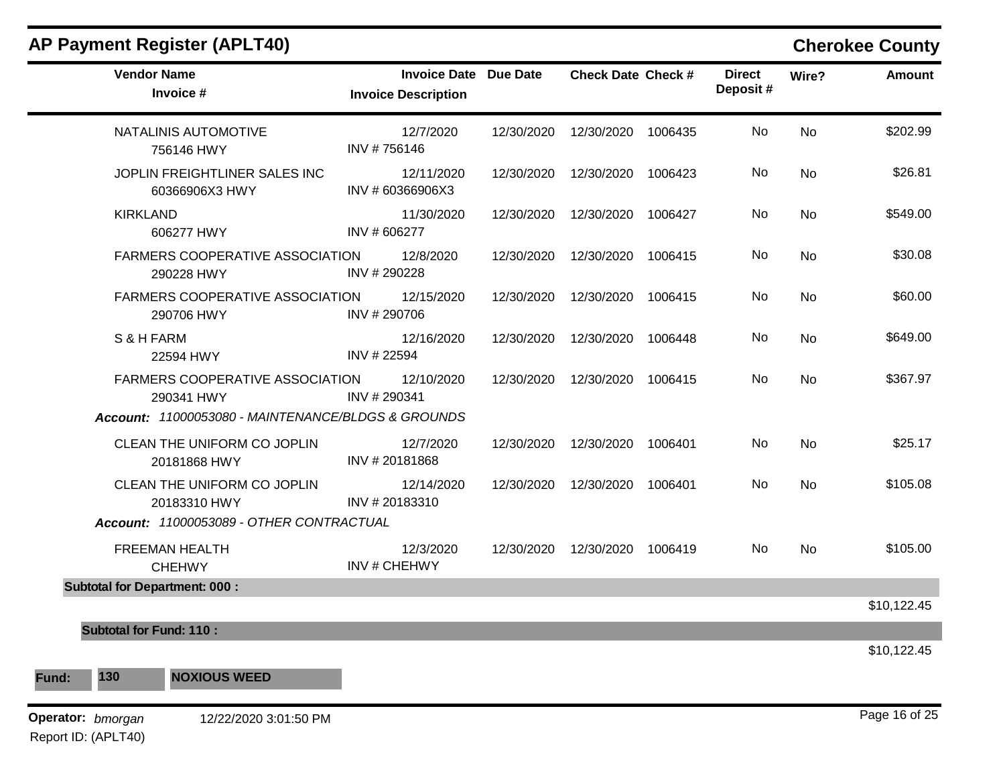| <b>Vendor Name</b><br>Invoice #                      | <b>Invoice Date Due Date</b><br><b>Invoice Description</b> |            | <b>Check Date Check #</b>       |         | <b>Direct</b><br>Deposit# | Wire?     | <b>Amount</b> |
|------------------------------------------------------|------------------------------------------------------------|------------|---------------------------------|---------|---------------------------|-----------|---------------|
| NATALINIS AUTOMOTIVE<br>756146 HWY                   | 12/7/2020<br>INV #756146                                   | 12/30/2020 | 12/30/2020 1006435              |         | <b>No</b>                 | No        | \$202.99      |
| JOPLIN FREIGHTLINER SALES INC<br>60366906X3 HWY      | 12/11/2020<br>INV # 60366906X3                             |            | 12/30/2020  12/30/2020  1006423 |         | No.                       | <b>No</b> | \$26.81       |
| <b>KIRKLAND</b><br>606277 HWY                        | 11/30/2020<br>INV # 606277                                 | 12/30/2020 | 12/30/2020                      | 1006427 | No.                       | No        | \$549.00      |
| <b>FARMERS COOPERATIVE ASSOCIATION</b><br>290228 HWY | 12/8/2020<br>INV #290228                                   |            | 12/30/2020  12/30/2020  1006415 |         | No.                       | <b>No</b> | \$30.08       |
| <b>FARMERS COOPERATIVE ASSOCIATION</b><br>290706 HWY | 12/15/2020<br>INV #290706                                  | 12/30/2020 | 12/30/2020                      | 1006415 | <b>No</b>                 | <b>No</b> | \$60.00       |
| S & H FARM<br>22594 HWY                              | 12/16/2020<br>INV # 22594                                  |            | 12/30/2020  12/30/2020  1006448 |         | No.                       | <b>No</b> | \$649.00      |
| FARMERS COOPERATIVE ASSOCIATION<br>290341 HWY        | 12/10/2020<br>INV #290341                                  | 12/30/2020 | 12/30/2020 1006415              |         | No                        | <b>No</b> | \$367.97      |
| Account: 11000053080 - MAINTENANCE/BLDGS & GROUNDS   |                                                            |            |                                 |         |                           |           |               |
| CLEAN THE UNIFORM CO JOPLIN<br>20181868 HWY          | 12/7/2020<br>INV #20181868                                 |            | 12/30/2020  12/30/2020  1006401 |         | No.                       | No        | \$25.17       |
| CLEAN THE UNIFORM CO JOPLIN<br>20183310 HWY          | 12/14/2020<br>INV #20183310                                |            | 12/30/2020  12/30/2020  1006401 |         | No                        | No        | \$105.08      |
| Account: 11000053089 - OTHER CONTRACTUAL             |                                                            |            |                                 |         |                           |           |               |
| <b>FREEMAN HEALTH</b><br><b>CHEHWY</b>               | 12/3/2020<br><b>INV#CHEHWY</b>                             |            | 12/30/2020  12/30/2020  1006419 |         | No.                       | <b>No</b> | \$105.00      |
| <b>Subtotal for Department: 000:</b>                 |                                                            |            |                                 |         |                           |           |               |
|                                                      |                                                            |            |                                 |         |                           |           | \$10,122.45   |
| <b>Subtotal for Fund: 110:</b>                       |                                                            |            |                                 |         |                           |           |               |
| 130<br><b>NOXIOUS WEED</b>                           |                                                            |            |                                 |         |                           |           | \$10,122.45   |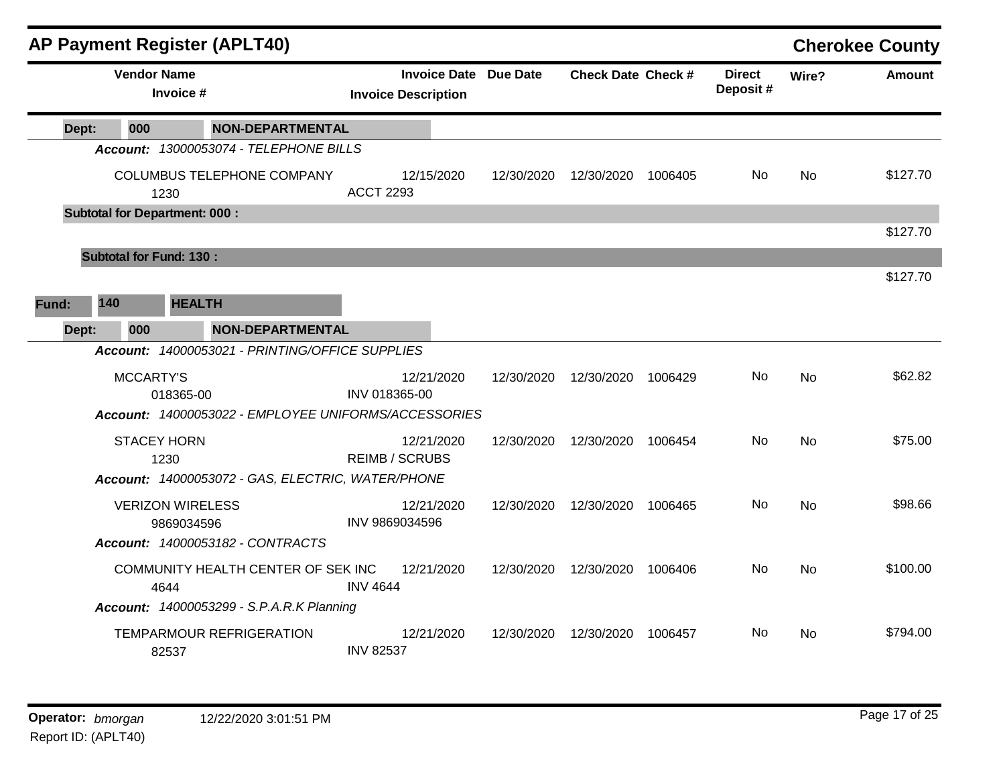|       |                                | <b>AP Payment Register (APLT40)</b>                  |                                                            |            |                           |         |                           |           | <b>Cherokee County</b> |
|-------|--------------------------------|------------------------------------------------------|------------------------------------------------------------|------------|---------------------------|---------|---------------------------|-----------|------------------------|
|       | <b>Vendor Name</b>             | Invoice #                                            | <b>Invoice Date Due Date</b><br><b>Invoice Description</b> |            | <b>Check Date Check #</b> |         | <b>Direct</b><br>Deposit# | Wire?     | <b>Amount</b>          |
| Dept: | 000                            | <b>NON-DEPARTMENTAL</b>                              |                                                            |            |                           |         |                           |           |                        |
|       |                                | Account: 13000053074 - TELEPHONE BILLS               |                                                            |            |                           |         |                           |           |                        |
|       |                                | COLUMBUS TELEPHONE COMPANY<br>1230                   | 12/15/2020<br><b>ACCT 2293</b>                             | 12/30/2020 | 12/30/2020                | 1006405 | No.                       | No.       | \$127.70               |
|       |                                | <b>Subtotal for Department: 000:</b>                 |                                                            |            |                           |         |                           |           |                        |
|       |                                |                                                      |                                                            |            |                           |         |                           |           | \$127.70               |
|       | <b>Subtotal for Fund: 130:</b> |                                                      |                                                            |            |                           |         |                           |           | \$127.70               |
|       |                                |                                                      |                                                            |            |                           |         |                           |           |                        |
| Fund: | 140                            | <b>HEALTH</b>                                        |                                                            |            |                           |         |                           |           |                        |
| Dept: | 000                            | <b>NON-DEPARTMENTAL</b>                              |                                                            |            |                           |         |                           |           |                        |
|       |                                | Account: 14000053021 - PRINTING/OFFICE SUPPLIES      |                                                            |            |                           |         |                           |           |                        |
|       | MCCARTY'S                      | 018365-00                                            | 12/21/2020<br>INV 018365-00                                | 12/30/2020 | 12/30/2020                | 1006429 | No.                       | No        | \$62.82                |
|       |                                | Account: 14000053022 - EMPLOYEE UNIFORMS/ACCESSORIES |                                                            |            |                           |         |                           |           |                        |
|       | <b>STACEY HORN</b>             | 1230                                                 | 12/21/2020<br><b>REIMB / SCRUBS</b>                        | 12/30/2020 | 12/30/2020                | 1006454 | No.                       | No        | \$75.00                |
|       |                                | Account: 14000053072 - GAS, ELECTRIC, WATER/PHONE    |                                                            |            |                           |         |                           |           |                        |
|       |                                | <b>VERIZON WIRELESS</b><br>9869034596                | 12/21/2020<br>INV 9869034596                               | 12/30/2020 | 12/30/2020                | 1006465 | No.                       | <b>No</b> | \$98.66                |
|       |                                | Account: 14000053182 - CONTRACTS                     |                                                            |            |                           |         |                           |           |                        |
|       |                                | COMMUNITY HEALTH CENTER OF SEK INC<br>4644           | 12/21/2020<br><b>INV 4644</b>                              | 12/30/2020 | 12/30/2020                | 1006406 | No.                       | <b>No</b> | \$100.00               |
|       |                                | <b>Account: 14000053299 - S.P.A.R.K Planning</b>     |                                                            |            |                           |         |                           |           |                        |
|       |                                | TEMPARMOUR REFRIGERATION<br>82537                    | 12/21/2020<br><b>INV 82537</b>                             | 12/30/2020 | 12/30/2020                | 1006457 | No.                       | No        | \$794.00               |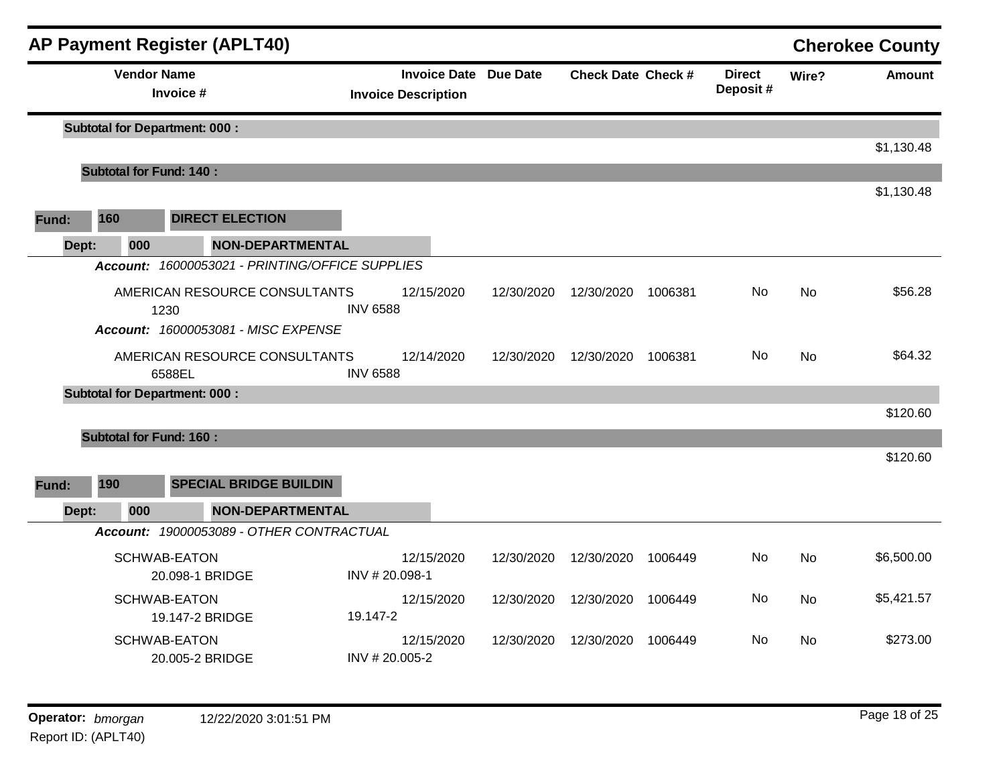|       |                                | <b>AP Payment Register (APLT40)</b>             |                                                            |            |                    |         |                           |           | <b>Cherokee County</b> |
|-------|--------------------------------|-------------------------------------------------|------------------------------------------------------------|------------|--------------------|---------|---------------------------|-----------|------------------------|
|       |                                | <b>Vendor Name</b><br>Invoice #                 | <b>Invoice Date Due Date</b><br><b>Invoice Description</b> |            | Check Date Check # |         | <b>Direct</b><br>Deposit# | Wire?     | <b>Amount</b>          |
|       |                                | <b>Subtotal for Department: 000:</b>            |                                                            |            |                    |         |                           |           | \$1,130.48             |
|       | <b>Subtotal for Fund: 140:</b> |                                                 |                                                            |            |                    |         |                           |           |                        |
|       |                                |                                                 |                                                            |            |                    |         |                           |           | \$1,130.48             |
| Fund: | 160                            | <b>DIRECT ELECTION</b>                          |                                                            |            |                    |         |                           |           |                        |
| Dept: | 000                            | <b>NON-DEPARTMENTAL</b>                         |                                                            |            |                    |         |                           |           |                        |
|       |                                | Account: 16000053021 - PRINTING/OFFICE SUPPLIES |                                                            |            |                    |         |                           |           |                        |
|       |                                | AMERICAN RESOURCE CONSULTANTS<br>1230           | 12/15/2020<br><b>INV 6588</b>                              | 12/30/2020 | 12/30/2020         | 1006381 | No                        | <b>No</b> | \$56.28                |
|       |                                | Account: 16000053081 - MISC EXPENSE             |                                                            |            |                    |         |                           |           |                        |
|       |                                | AMERICAN RESOURCE CONSULTANTS<br>6588EL         | 12/14/2020<br><b>INV 6588</b>                              | 12/30/2020 | 12/30/2020         | 1006381 | No.                       | <b>No</b> | \$64.32                |
|       |                                | <b>Subtotal for Department: 000:</b>            |                                                            |            |                    |         |                           |           | \$120.60               |
|       | <b>Subtotal for Fund: 160:</b> |                                                 |                                                            |            |                    |         |                           |           |                        |
|       |                                |                                                 |                                                            |            |                    |         |                           |           | \$120.60               |
| Fund: | 190                            | <b>SPECIAL BRIDGE BUILDIN</b>                   |                                                            |            |                    |         |                           |           |                        |
| Dept: | 000                            | <b>NON-DEPARTMENTAL</b>                         |                                                            |            |                    |         |                           |           |                        |
|       |                                | Account: 19000053089 - OTHER CONTRACTUAL        |                                                            |            |                    |         |                           |           |                        |
|       |                                | <b>SCHWAB-EATON</b><br>20.098-1 BRIDGE          | 12/15/2020<br>INV #20.098-1                                | 12/30/2020 | 12/30/2020         | 1006449 | No.                       | No        | \$6,500.00             |
|       |                                | <b>SCHWAB-EATON</b><br>19.147-2 BRIDGE          | 12/15/2020<br>19.147-2                                     | 12/30/2020 | 12/30/2020         | 1006449 | No.                       | <b>No</b> | \$5,421.57             |
|       |                                | SCHWAB-EATON<br>20.005-2 BRIDGE                 | 12/15/2020<br>INV #20.005-2                                | 12/30/2020 | 12/30/2020         | 1006449 | No.                       | No        | \$273.00               |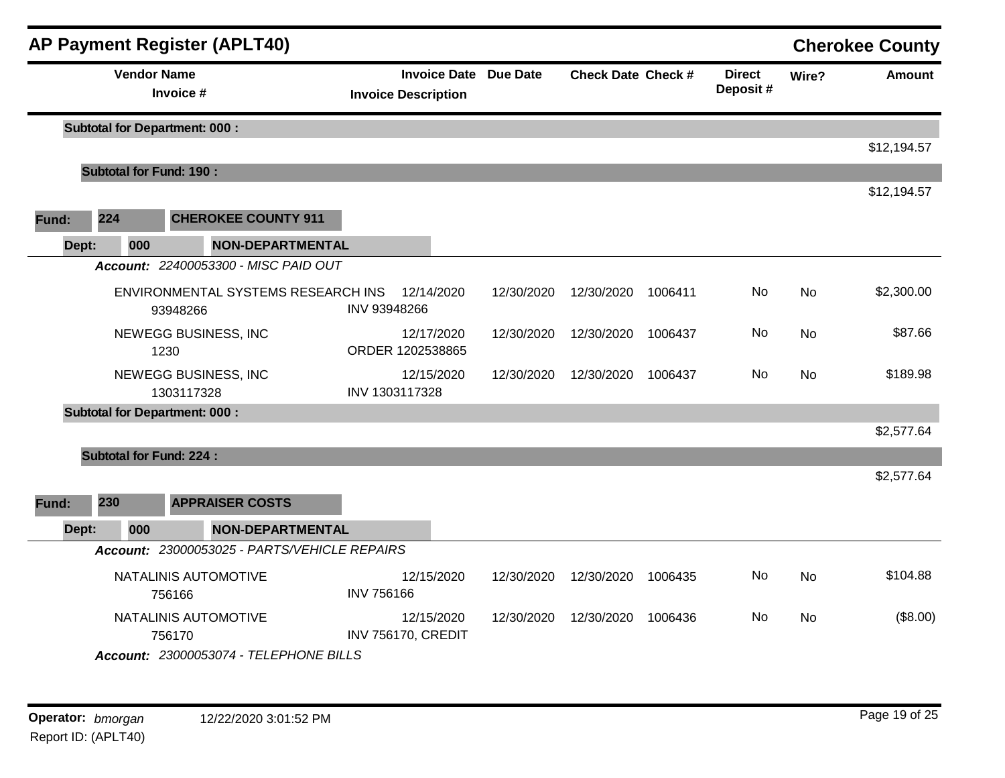|       |                                | <b>AP Payment Register (APLT40)</b>            |                                                            |            |                           |         |                           |           | <b>Cherokee County</b> |
|-------|--------------------------------|------------------------------------------------|------------------------------------------------------------|------------|---------------------------|---------|---------------------------|-----------|------------------------|
|       | <b>Vendor Name</b>             | Invoice #                                      | <b>Invoice Date Due Date</b><br><b>Invoice Description</b> |            | <b>Check Date Check #</b> |         | <b>Direct</b><br>Deposit# | Wire?     | <b>Amount</b>          |
|       |                                | <b>Subtotal for Department: 000:</b>           |                                                            |            |                           |         |                           |           |                        |
|       |                                |                                                |                                                            |            |                           |         |                           |           | \$12,194.57            |
|       | <b>Subtotal for Fund: 190:</b> |                                                |                                                            |            |                           |         |                           |           | \$12,194.57            |
| Fund: | 224                            | <b>CHEROKEE COUNTY 911</b>                     |                                                            |            |                           |         |                           |           |                        |
| Dept: | 000                            | <b>NON-DEPARTMENTAL</b>                        |                                                            |            |                           |         |                           |           |                        |
|       |                                | Account: 22400053300 - MISC PAID OUT           |                                                            |            |                           |         |                           |           |                        |
|       |                                | ENVIRONMENTAL SYSTEMS RESEARCH INS<br>93948266 | 12/14/2020<br>INV 93948266                                 | 12/30/2020 | 12/30/2020                | 1006411 | No                        | <b>No</b> | \$2,300.00             |
|       |                                | NEWEGG BUSINESS, INC<br>1230                   | 12/17/2020<br>ORDER 1202538865                             | 12/30/2020 | 12/30/2020                | 1006437 | No.                       | No        | \$87.66                |
|       |                                | NEWEGG BUSINESS, INC<br>1303117328             | 12/15/2020<br>INV 1303117328                               | 12/30/2020 | 12/30/2020                | 1006437 | No                        | <b>No</b> | \$189.98               |
|       |                                | <b>Subtotal for Department: 000:</b>           |                                                            |            |                           |         |                           |           |                        |
|       |                                |                                                |                                                            |            |                           |         |                           |           | \$2,577.64             |
|       | <b>Subtotal for Fund: 224:</b> |                                                |                                                            |            |                           |         |                           |           |                        |
| Fund: | 230                            | <b>APPRAISER COSTS</b>                         |                                                            |            |                           |         |                           |           | \$2,577.64             |
| Dept: | 000                            | <b>NON-DEPARTMENTAL</b>                        |                                                            |            |                           |         |                           |           |                        |
|       |                                | Account: 23000053025 - PARTS/VEHICLE REPAIRS   |                                                            |            |                           |         |                           |           |                        |
|       |                                | NATALINIS AUTOMOTIVE                           | 12/15/2020                                                 | 12/30/2020 | 12/30/2020                | 1006435 | No                        | <b>No</b> | \$104.88               |
|       |                                | 756166                                         | <b>INV 756166</b>                                          |            |                           |         |                           |           |                        |
|       |                                | NATALINIS AUTOMOTIVE<br>756170                 | 12/15/2020<br><b>INV 756170, CREDIT</b>                    | 12/30/2020 | 12/30/2020                | 1006436 | No.                       | <b>No</b> | (\$8.00)               |
|       |                                | Account: 23000053074 - TELEPHONE BILLS         |                                                            |            |                           |         |                           |           |                        |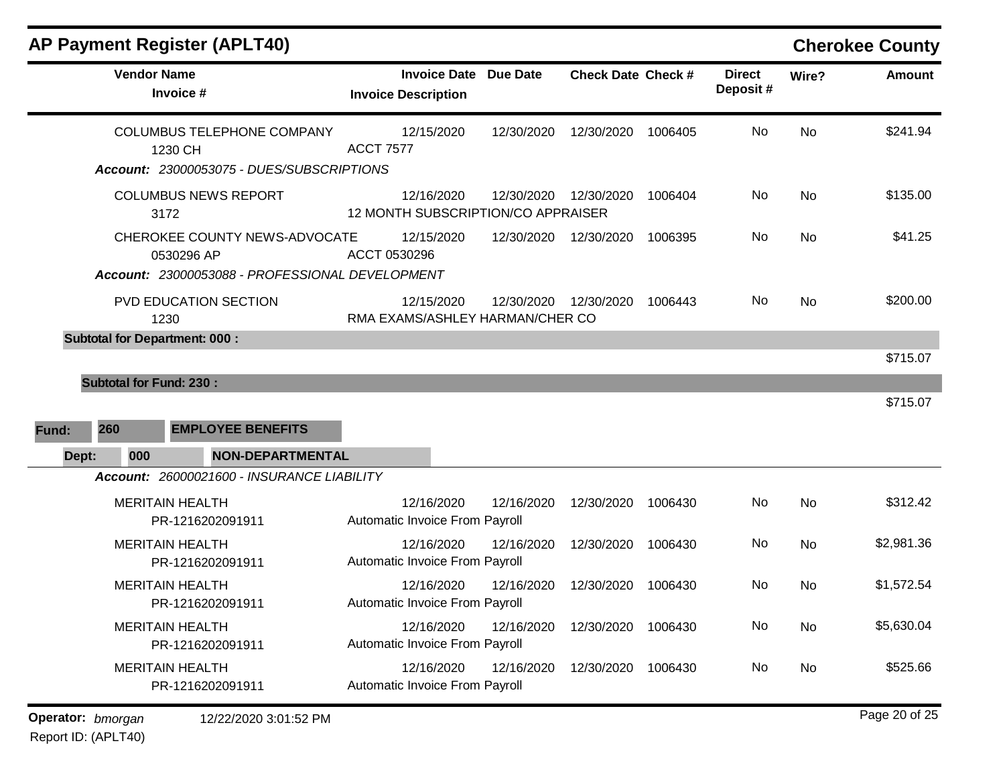| <b>AP Payment Register (APLT40)</b>                                                            |                                                            |            |                       |         |                           |           | <b>Cherokee County</b> |
|------------------------------------------------------------------------------------------------|------------------------------------------------------------|------------|-----------------------|---------|---------------------------|-----------|------------------------|
| <b>Vendor Name</b><br>Invoice #                                                                | <b>Invoice Date Due Date</b><br><b>Invoice Description</b> |            | Check Date Check #    |         | <b>Direct</b><br>Deposit# | Wire?     | <b>Amount</b>          |
| <b>COLUMBUS TELEPHONE COMPANY</b><br>1230 CH<br>Account: 23000053075 - DUES/SUBSCRIPTIONS      | 12/15/2020<br><b>ACCT 7577</b>                             | 12/30/2020 | 12/30/2020            | 1006405 | No                        | No        | \$241.94               |
| <b>COLUMBUS NEWS REPORT</b><br>3172                                                            | 12/16/2020<br>12 MONTH SUBSCRIPTION/CO APPRAISER           |            | 12/30/2020 12/30/2020 | 1006404 | No                        | No        | \$135.00               |
| CHEROKEE COUNTY NEWS-ADVOCATE<br>0530296 AP<br>Account: 23000053088 - PROFESSIONAL DEVELOPMENT | 12/15/2020<br>ACCT 0530296                                 | 12/30/2020 | 12/30/2020            | 1006395 | No                        | <b>No</b> | \$41.25                |
| PVD EDUCATION SECTION<br>1230                                                                  | 12/15/2020<br>RMA EXAMS/ASHLEY HARMAN/CHER CO              | 12/30/2020 | 12/30/2020            | 1006443 | No.                       | No.       | \$200.00               |
| <b>Subtotal for Fund: 230:</b><br>260<br><b>EMPLOYEE BENEFITS</b><br>Fund:                     |                                                            |            |                       |         |                           |           | \$715.07<br>\$715.07   |
| 000<br><b>NON-DEPARTMENTAL</b><br>Dept:                                                        |                                                            |            |                       |         |                           |           |                        |
| Account: 26000021600 - INSURANCE LIABILITY                                                     |                                                            |            |                       |         |                           |           |                        |
| <b>MERITAIN HEALTH</b><br>PR-1216202091911                                                     | 12/16/2020<br>Automatic Invoice From Payroll               | 12/16/2020 | 12/30/2020            | 1006430 | No                        | <b>No</b> | \$312.42               |
| <b>MERITAIN HEALTH</b><br>PR-1216202091911                                                     | 12/16/2020<br>Automatic Invoice From Payroll               | 12/16/2020 | 12/30/2020            | 1006430 | No                        | No        | \$2,981.36             |
| <b>MERITAIN HEALTH</b><br>PR-1216202091911                                                     | 12/16/2020<br>Automatic Invoice From Payroll               | 12/16/2020 | 12/30/2020            | 1006430 | No                        | <b>No</b> | \$1,572.54             |
| <b>MERITAIN HEALTH</b><br>PR-1216202091911                                                     | 12/16/2020<br>Automatic Invoice From Payroll               | 12/16/2020 | 12/30/2020            | 1006430 | No                        | No        | \$5,630.04             |
| <b>MERITAIN HEALTH</b><br>PR-1216202091911                                                     | 12/16/2020<br>Automatic Invoice From Payroll               | 12/16/2020 | 12/30/2020            | 1006430 | No                        | No        | \$525.66               |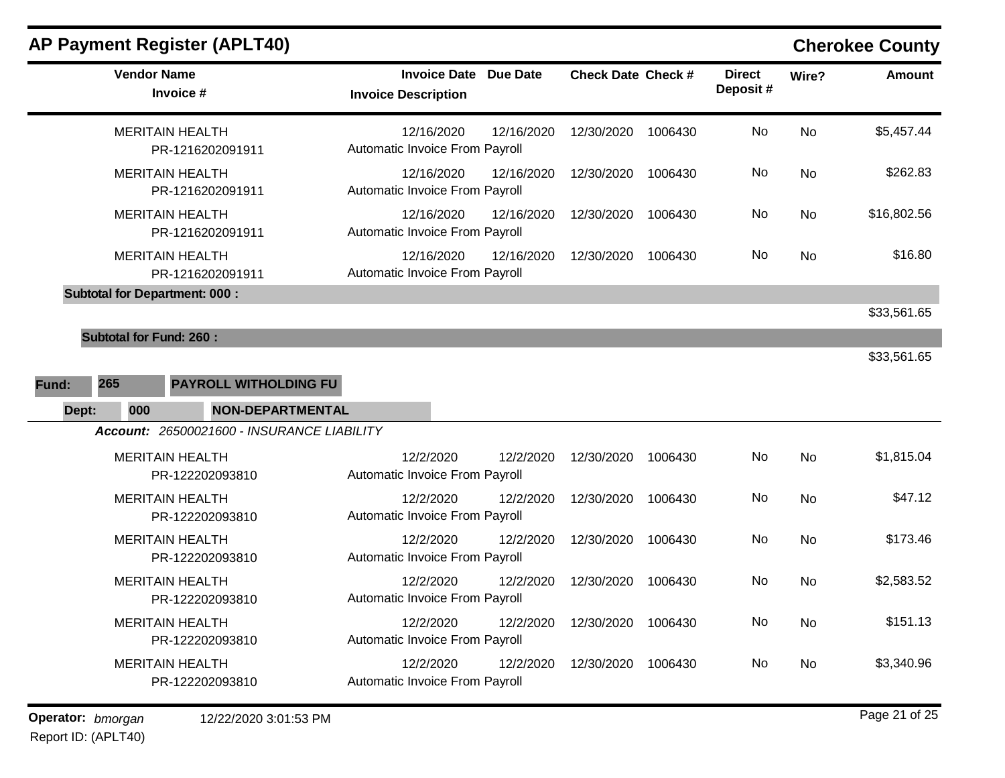| <b>Vendor Name</b><br>Invoice #                                                  | <b>Invoice Date Due Date</b><br><b>Invoice Description</b> | <b>Check Date Check #</b> |         | <b>Direct</b><br>Deposit# | Wire?     | <b>Amount</b> |
|----------------------------------------------------------------------------------|------------------------------------------------------------|---------------------------|---------|---------------------------|-----------|---------------|
| <b>MERITAIN HEALTH</b><br>PR-1216202091911                                       | 12/16/2020<br>12/16/2020<br>Automatic Invoice From Payroll | 12/30/2020                | 1006430 | No                        | <b>No</b> | \$5,457.44    |
| <b>MERITAIN HEALTH</b><br>PR-1216202091911                                       | 12/16/2020<br>12/16/2020<br>Automatic Invoice From Payroll | 12/30/2020                | 1006430 | No                        | <b>No</b> | \$262.83      |
| <b>MERITAIN HEALTH</b><br>PR-1216202091911                                       | 12/16/2020<br>12/16/2020<br>Automatic Invoice From Payroll | 12/30/2020                | 1006430 | No                        | No        | \$16,802.56   |
| <b>MERITAIN HEALTH</b><br>PR-1216202091911                                       | 12/16/2020<br>12/16/2020<br>Automatic Invoice From Payroll | 12/30/2020                | 1006430 | No                        | No        | \$16.80       |
| <b>Subtotal for Department: 000:</b>                                             |                                                            |                           |         |                           |           | \$33,561.65   |
| <b>Subtotal for Fund: 260:</b>                                                   |                                                            |                           |         |                           |           |               |
| 265<br>PAYROLL WITHOLDING FU<br>Fund:<br><b>NON-DEPARTMENTAL</b><br>Dept:<br>000 |                                                            |                           |         |                           |           | \$33,561.65   |
| Account: 26500021600 - INSURANCE LIABILITY                                       |                                                            |                           |         |                           |           |               |
| <b>MERITAIN HEALTH</b><br>PR-122202093810                                        | 12/2/2020<br>12/2/2020<br>Automatic Invoice From Payroll   | 12/30/2020                | 1006430 | No                        | <b>No</b> | \$1,815.04    |
| <b>MERITAIN HEALTH</b><br>PR-122202093810                                        | 12/2/2020<br>12/2/2020<br>Automatic Invoice From Payroll   | 12/30/2020                | 1006430 | No                        | <b>No</b> | \$47.12       |
| <b>MERITAIN HEALTH</b><br>PR-122202093810                                        | 12/2/2020<br>12/2/2020<br>Automatic Invoice From Payroll   | 12/30/2020                | 1006430 | No                        | <b>No</b> | \$173.46      |
| <b>MERITAIN HEALTH</b><br>PR-122202093810                                        | 12/2/2020<br>12/2/2020<br>Automatic Invoice From Payroll   | 12/30/2020                | 1006430 | No                        | <b>No</b> | \$2,583.52    |
| <b>MERITAIN HEALTH</b><br>PR-122202093810                                        | 12/2/2020<br>12/2/2020<br>Automatic Invoice From Payroll   | 12/30/2020                | 1006430 | No                        | <b>No</b> | \$151.13      |
| <b>MERITAIN HEALTH</b><br>PR-122202093810                                        | 12/2/2020<br>12/2/2020<br>Automatic Invoice From Payroll   | 12/30/2020                | 1006430 | No                        | No.       | \$3,340.96    |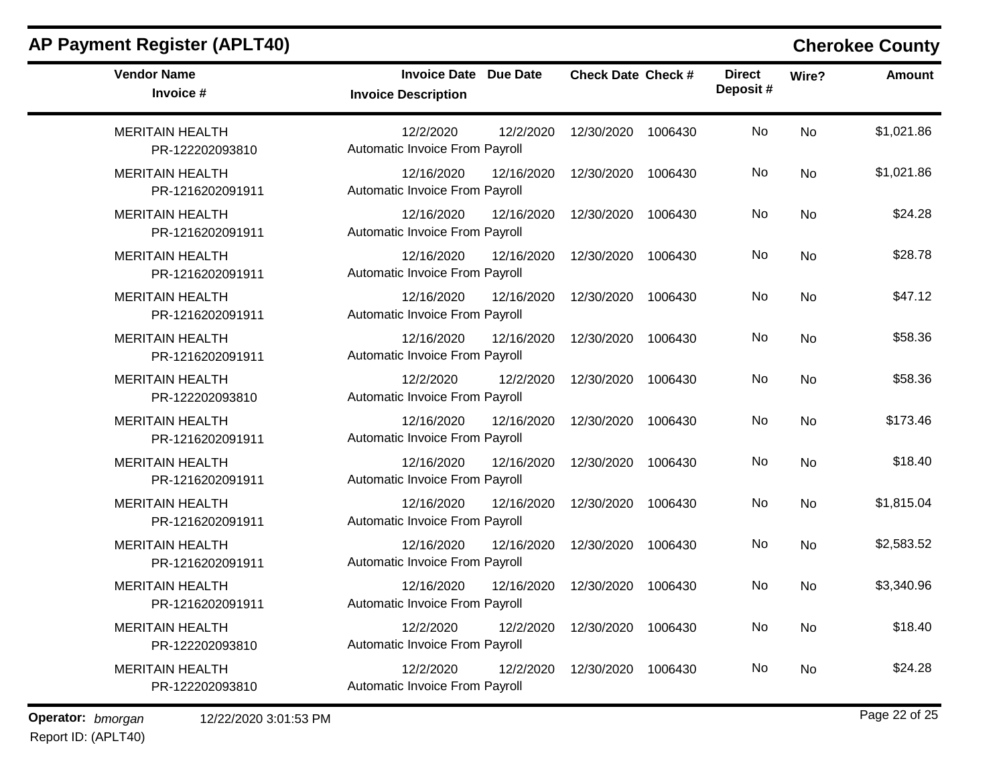| <b>Vendor Name</b><br>Invoice #            | <b>Invoice Date Due Date</b><br><b>Invoice Description</b> | <b>Check Date Check #</b> | <b>Direct</b><br>Deposit# | Wire?     | <b>Amount</b> |
|--------------------------------------------|------------------------------------------------------------|---------------------------|---------------------------|-----------|---------------|
| <b>MERITAIN HEALTH</b><br>PR-122202093810  | 12/2/2020<br>12/2/2020<br>Automatic Invoice From Payroll   | 12/30/2020<br>1006430     | <b>No</b>                 | No        | \$1,021.86    |
| <b>MERITAIN HEALTH</b><br>PR-1216202091911 | 12/16/2020<br>12/16/2020<br>Automatic Invoice From Payroll | 12/30/2020<br>1006430     | No                        | <b>No</b> | \$1,021.86    |
| <b>MERITAIN HEALTH</b><br>PR-1216202091911 | 12/16/2020<br>12/16/2020<br>Automatic Invoice From Payroll | 12/30/2020<br>1006430     | <b>No</b>                 | <b>No</b> | \$24.28       |
| <b>MERITAIN HEALTH</b><br>PR-1216202091911 | 12/16/2020<br>12/16/2020<br>Automatic Invoice From Payroll | 12/30/2020<br>1006430     | No                        | <b>No</b> | \$28.78       |
| <b>MERITAIN HEALTH</b><br>PR-1216202091911 | 12/16/2020<br>12/16/2020<br>Automatic Invoice From Payroll | 12/30/2020<br>1006430     | No                        | <b>No</b> | \$47.12       |
| <b>MERITAIN HEALTH</b><br>PR-1216202091911 | 12/16/2020<br>12/16/2020<br>Automatic Invoice From Payroll | 12/30/2020<br>1006430     | <b>No</b>                 | <b>No</b> | \$58.36       |
| <b>MERITAIN HEALTH</b><br>PR-122202093810  | 12/2/2020<br>12/2/2020<br>Automatic Invoice From Payroll   | 12/30/2020<br>1006430     | <b>No</b>                 | <b>No</b> | \$58.36       |
| <b>MERITAIN HEALTH</b><br>PR-1216202091911 | 12/16/2020<br>12/16/2020<br>Automatic Invoice From Payroll | 12/30/2020<br>1006430     | No                        | <b>No</b> | \$173.46      |
| <b>MERITAIN HEALTH</b><br>PR-1216202091911 | 12/16/2020<br>12/16/2020<br>Automatic Invoice From Payroll | 12/30/2020<br>1006430     | No                        | <b>No</b> | \$18.40       |
| <b>MERITAIN HEALTH</b><br>PR-1216202091911 | 12/16/2020<br>12/16/2020<br>Automatic Invoice From Payroll | 12/30/2020<br>1006430     | No                        | <b>No</b> | \$1,815.04    |
| <b>MERITAIN HEALTH</b><br>PR-1216202091911 | 12/16/2020<br>12/16/2020<br>Automatic Invoice From Payroll | 12/30/2020<br>1006430     | <b>No</b>                 | No        | \$2,583.52    |
| <b>MERITAIN HEALTH</b><br>PR-1216202091911 | 12/16/2020<br>12/16/2020<br>Automatic Invoice From Payroll | 12/30/2020<br>1006430     | No                        | <b>No</b> | \$3,340.96    |
| <b>MERITAIN HEALTH</b><br>PR-122202093810  | 12/2/2020<br>12/2/2020<br>Automatic Invoice From Payroll   | 12/30/2020<br>1006430     | <b>No</b>                 | <b>No</b> | \$18.40       |
| <b>MERITAIN HEALTH</b><br>PR-122202093810  | 12/2/2020<br>12/2/2020<br>Automatic Invoice From Payroll   | 12/30/2020<br>1006430     | No                        | No        | \$24.28       |

**Operator:** bmorgan 12/22/2020 3:01:53 PM

Report ID: (APLT40)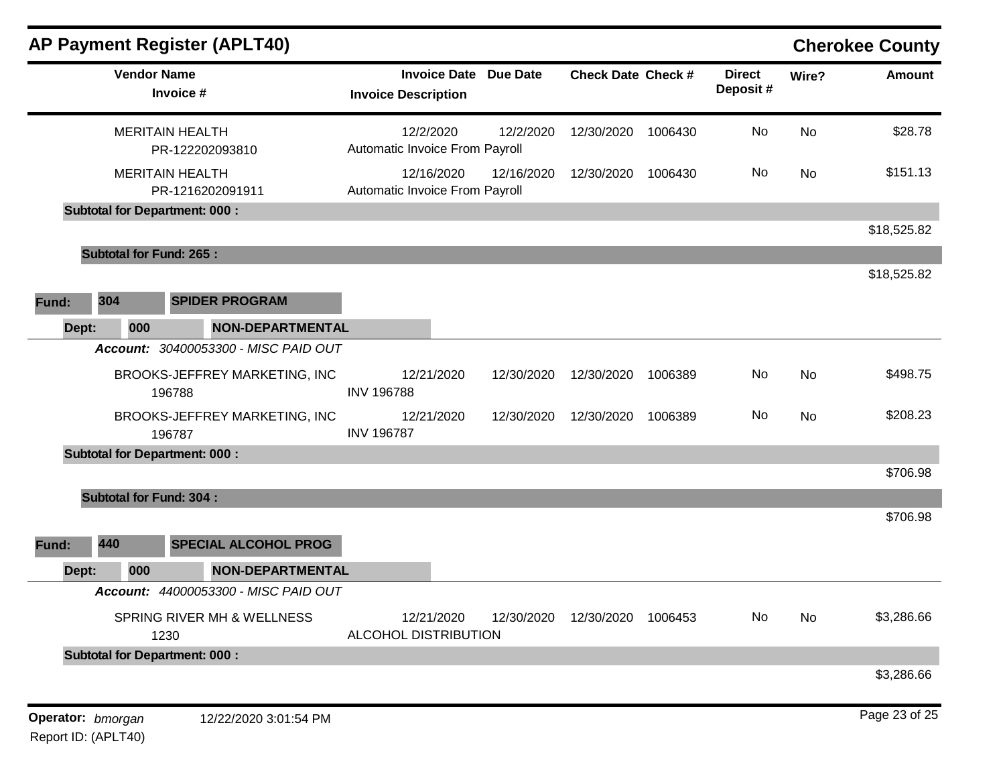|              |                    | <b>AP Payment Register (APLT40)</b>        |                                                   |                 |                           |         |                           |           | <b>Cherokee County</b> |
|--------------|--------------------|--------------------------------------------|---------------------------------------------------|-----------------|---------------------------|---------|---------------------------|-----------|------------------------|
|              | <b>Vendor Name</b> | Invoice #                                  | <b>Invoice Date</b><br><b>Invoice Description</b> | <b>Due Date</b> | <b>Check Date Check #</b> |         | <b>Direct</b><br>Deposit# | Wire?     | <b>Amount</b>          |
|              |                    | <b>MERITAIN HEALTH</b><br>PR-122202093810  | 12/2/2020<br>Automatic Invoice From Payroll       | 12/2/2020       | 12/30/2020                | 1006430 | No                        | <b>No</b> | \$28.78                |
|              |                    | <b>MERITAIN HEALTH</b><br>PR-1216202091911 | 12/16/2020<br>Automatic Invoice From Payroll      | 12/16/2020      | 12/30/2020                | 1006430 | No                        | No        | \$151.13               |
|              |                    | <b>Subtotal for Department: 000:</b>       |                                                   |                 |                           |         |                           |           |                        |
|              |                    |                                            |                                                   |                 |                           |         |                           |           | \$18,525.82            |
|              |                    | <b>Subtotal for Fund: 265:</b>             |                                                   |                 |                           |         |                           |           | \$18,525.82            |
| 304<br>Fund: |                    | <b>SPIDER PROGRAM</b>                      |                                                   |                 |                           |         |                           |           |                        |
| Dept:        | 000                | <b>NON-DEPARTMENTAL</b>                    |                                                   |                 |                           |         |                           |           |                        |
|              |                    | Account: 30400053300 - MISC PAID OUT       |                                                   |                 |                           |         |                           |           |                        |
|              |                    | BROOKS-JEFFREY MARKETING, INC<br>196788    | 12/21/2020<br><b>INV 196788</b>                   | 12/30/2020      | 12/30/2020                | 1006389 | No                        | No        | \$498.75               |
|              |                    | BROOKS-JEFFREY MARKETING, INC<br>196787    | 12/21/2020<br><b>INV 196787</b>                   | 12/30/2020      | 12/30/2020                | 1006389 | No                        | No        | \$208.23               |
|              |                    | <b>Subtotal for Department: 000:</b>       |                                                   |                 |                           |         |                           |           |                        |
|              |                    |                                            |                                                   |                 |                           |         |                           |           | \$706.98               |
|              |                    | <b>Subtotal for Fund: 304:</b>             |                                                   |                 |                           |         |                           |           |                        |
| 440<br>Fund: |                    | <b>SPECIAL ALCOHOL PROG</b>                |                                                   |                 |                           |         |                           |           | \$706.98               |
| Dept:        | 000                | <b>NON-DEPARTMENTAL</b>                    |                                                   |                 |                           |         |                           |           |                        |
|              |                    | Account: 44000053300 - MISC PAID OUT       |                                                   |                 |                           |         |                           |           |                        |
|              | 1230               | SPRING RIVER MH & WELLNESS                 | 12/21/2020<br>ALCOHOL DISTRIBUTION                | 12/30/2020      | 12/30/2020                | 1006453 | No                        | No        | \$3,286.66             |
|              |                    | <b>Subtotal for Department: 000:</b>       |                                                   |                 |                           |         |                           |           |                        |
|              |                    |                                            |                                                   |                 |                           |         |                           |           | \$3,286.66             |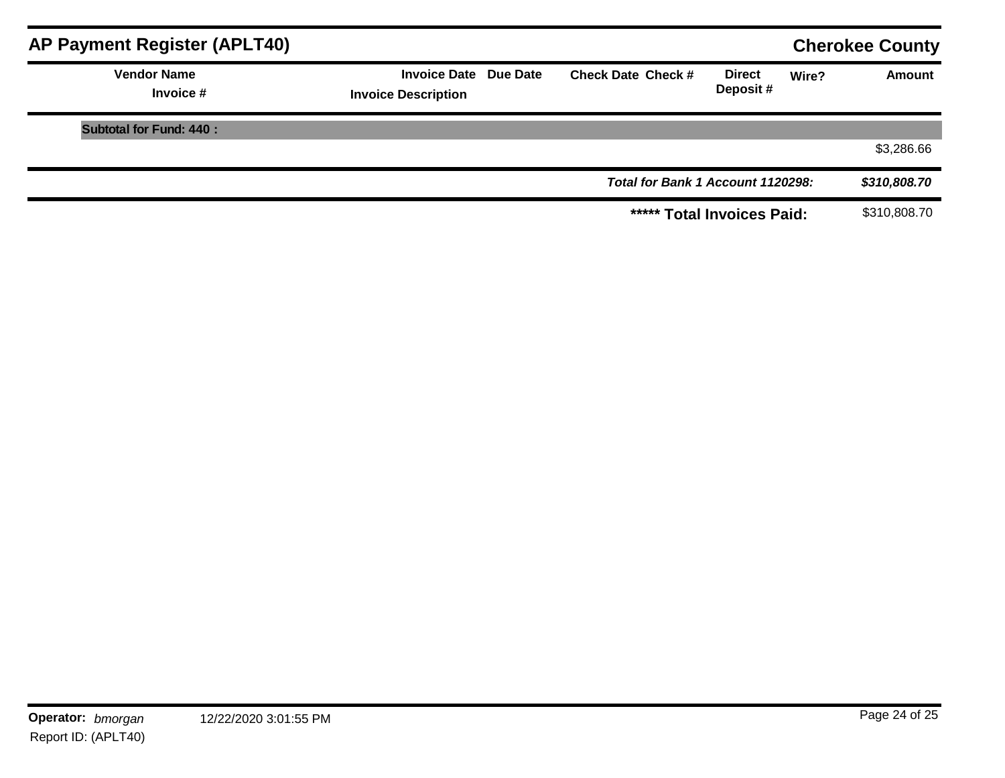| AP Payment Register (APLT40)    |                                                            |                                   |                           |       | <b>Cherokee County</b> |
|---------------------------------|------------------------------------------------------------|-----------------------------------|---------------------------|-------|------------------------|
| <b>Vendor Name</b><br>Invoice # | <b>Invoice Date Due Date</b><br><b>Invoice Description</b> | <b>Check Date Check #</b>         | <b>Direct</b><br>Deposit# | Wire? | Amount                 |
| <b>Subtotal for Fund: 440:</b>  |                                                            |                                   |                           |       |                        |
|                                 |                                                            |                                   |                           |       | \$3,286.66             |
|                                 |                                                            | Total for Bank 1 Account 1120298: |                           |       | \$310,808.70           |
|                                 |                                                            | ***** Total Invoices Paid:        |                           |       | \$310,808.70           |